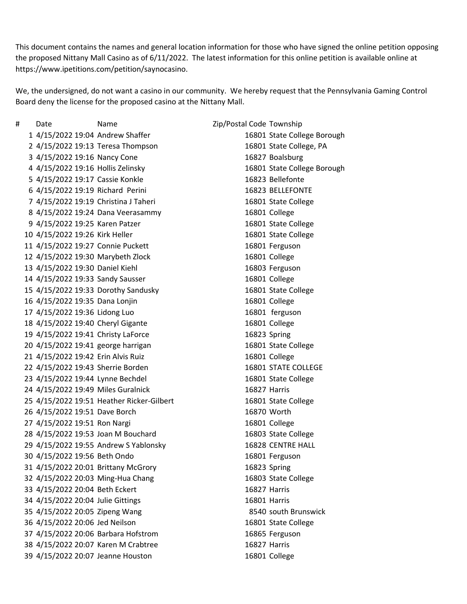This document contains the names and general location information for those who have signed the online petition opposing the proposed Nittany Mall Casino as of 6/11/2022. The latest information for this online petition is available online at https://www.ipetitions.com/petition/saynocasino.

We, the undersigned, do not want a casino in our community. We hereby request that the Pennsylvania Gaming Control Board deny the license for the proposed casino at the Nittany Mall.

# Date Name Zip/Postal Code Township 4/15/2022 19:04 Andrew Shaffer 16801 State College Borough 4/15/2022 19:13 Teresa Thompson 16801 State College, PA 4/15/2022 19:16 Nancy Cone 16827 Boalsburg 4/15/2022 19:16 Hollis Zelinsky 16801 State College Borough 4/15/2022 19:17 Cassie Konkle 16823 Bellefonte 4/15/2022 19:19 Richard Perini 16823 BELLEFONTE 4/15/2022 19:19 Christina J Taheri 16801 State College 4/15/2022 19:24 Dana Veerasammy 16801 College 4/15/2022 19:25 Karen Patzer 16801 State College 4/15/2022 19:26 Kirk Heller 16801 State College 4/15/2022 19:27 Connie Puckett 16801 Ferguson 4/15/2022 19:30 Marybeth Zlock 16801 College 4/15/2022 19:30 Daniel Kiehl 16803 Ferguson 4/15/2022 19:33 Sandy Sausser 16801 College 4/15/2022 19:33 Dorothy Sandusky 16801 State College 4/15/2022 19:35 Dana Lonjin 16801 College 4/15/2022 19:36 Lidong Luo 16801 ferguson 4/15/2022 19:40 Cheryl Gigante 16801 College 4/15/2022 19:41 Christy LaForce 16823 Spring 4/15/2022 19:41 george harrigan 16801 State College 4/15/2022 19:42 Erin Alvis Ruiz 16801 College 4/15/2022 19:43 Sherrie Borden 16801 STATE COLLEGE 23 4/15/2022 19:44 Lynne Bechdel 16801 State College 4/15/2022 19:49 Miles Guralnick 16827 Harris 4/15/2022 19:51 Heather Ricker-Gilbert 16801 State College 4/15/2022 19:51 Dave Borch 16870 Worth 4/15/2022 19:51 Ron Nargi 16801 College 4/15/2022 19:53 Joan M Bouchard 16803 State College 4/15/2022 19:55 Andrew S Yablonsky 16828 CENTRE HALL 4/15/2022 19:56 Beth Ondo 16801 Ferguson 4/15/2022 20:01 Brittany McGrory 16823 Spring 4/15/2022 20:03 Ming-Hua Chang 16803 State College 4/15/2022 20:04 Beth Eckert 16827 Harris 4/15/2022 20:04 Julie Gittings 16801 Harris 4/15/2022 20:05 Zipeng Wang 8540 south Brunswick 4/15/2022 20:06 Jed Neilson 16801 State College 4/15/2022 20:06 Barbara Hofstrom 16865 Ferguson 4/15/2022 20:07 Karen M Crabtree 16827 Harris 4/15/2022 20:07 Jeanne Houston 16801 College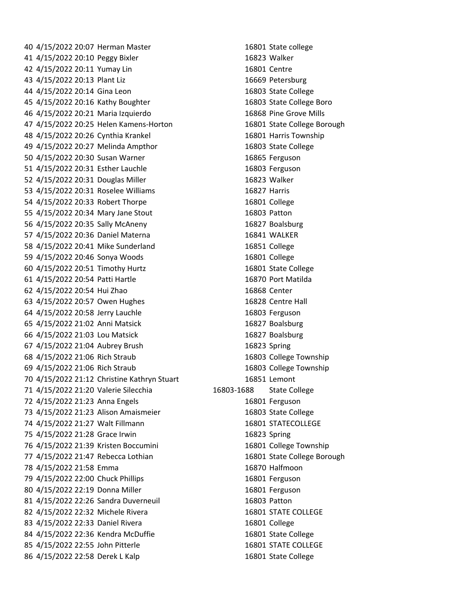4/15/2022 20:07 Herman Master 16801 State college 4/15/2022 20:10 Peggy Bixler 16823 Walker 4/15/2022 20:11 Yumay Lin 16801 Centre 4/15/2022 20:13 Plant Liz 16669 Petersburg 4/15/2022 20:14 Gina Leon 16803 State College 4/15/2022 20:16 Kathy Boughter 16803 State College Boro 4/15/2022 20:21 Maria Izquierdo 16868 Pine Grove Mills 4/15/2022 20:25 Helen Kamens-Horton 16801 State College Borough 4/15/2022 20:26 Cynthia Krankel 16801 Harris Township 4/15/2022 20:27 Melinda Ampthor 16803 State College 4/15/2022 20:30 Susan Warner 16865 Ferguson 4/15/2022 20:31 Esther Lauchle 16803 Ferguson 4/15/2022 20:31 Douglas Miller 16823 Walker 4/15/2022 20:31 Roselee Williams 16827 Harris 4/15/2022 20:33 Robert Thorpe 16801 College 4/15/2022 20:34 Mary Jane Stout 16803 Patton 4/15/2022 20:35 Sally McAneny 16827 Boalsburg 4/15/2022 20:36 Daniel Materna 16841 WALKER 4/15/2022 20:41 Mike Sunderland 16851 College 4/15/2022 20:46 Sonya Woods 16801 College 4/15/2022 20:51 Timothy Hurtz 16801 State College 4/15/2022 20:54 Patti Hartle 16870 Port Matilda 4/15/2022 20:54 Hui Zhao 16868 Center 4/15/2022 20:57 Owen Hughes 16828 Centre Hall 4/15/2022 20:58 Jerry Lauchle 16803 Ferguson 4/15/2022 21:02 Anni Matsick 16827 Boalsburg 4/15/2022 21:03 Lou Matsick 16827 Boalsburg 4/15/2022 21:04 Aubrey Brush 16823 Spring 4/15/2022 21:06 Rich Straub 16803 College Township 4/15/2022 21:06 Rich Straub 16803 College Township 4/15/2022 21:12 Christine Kathryn Stuart 16851 Lemont 4/15/2022 21:20 Valerie Silecchia 16803-1688 State College 4/15/2022 21:23 Anna Engels 16801 Ferguson 4/15/2022 21:23 Alison Amaismeier 16803 State College 4/15/2022 21:27 Walt Fillmann 16801 STATECOLLEGE 4/15/2022 21:28 Grace Irwin 16823 Spring 4/15/2022 21:39 Kristen Boccumini 16801 College Township 4/15/2022 21:47 Rebecca Lothian 16801 State College Borough 4/15/2022 21:58 Emma 16870 Halfmoon 79 4/15/2022 22:00 Chuck Phillips 16801 Ferguson 80 4/15/2022 22:19 Donna Miller 16801 Ferguson 4/15/2022 22:26 Sandra Duverneuil 16803 Patton 82 4/15/2022 22:32 Michele Rivera 16801 STATE COLLEGE 83 4/15/2022 22:33 Daniel Rivera 16801 College 84 4/15/2022 22:36 Kendra McDuffie 16801 State College 85 4/15/2022 22:55 John Pitterle 16801 STATE COLLEGE 86 4/15/2022 22:58 Derek L Kalp 16801 State College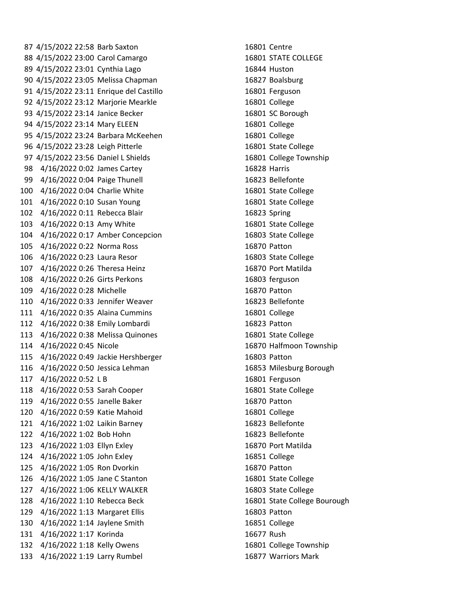4/15/2022 22:58 Barb Saxton 16801 Centre 88 4/15/2022 23:00 Carol Camargo 16801 STATE COLLEGE 4/15/2022 23:01 Cynthia Lago 16844 Huston 4/15/2022 23:05 Melissa Chapman 16827 Boalsburg 4/15/2022 23:11 Enrique del Castillo 16801 Ferguson 4/15/2022 23:12 Marjorie Mearkle 16801 College 93 4/15/2022 23:14 Janice Becker 16801 SC Borough 4/15/2022 23:14 Mary ELEEN 16801 College 4/15/2022 23:24 Barbara McKeehen 16801 College 4/15/2022 23:28 Leigh Pitterle 16801 State College 4/15/2022 23:56 Daniel L Shields 16801 College Township 4/16/2022 0:02 James Cartey 16828 Harris 99 4/16/2022 0:04 Paige Thunell 16823 Bellefonte 4/16/2022 0:04 Charlie White 16801 State College 4/16/2022 0:10 Susan Young 16801 State College 4/16/2022 0:11 Rebecca Blair 16823 Spring 4/16/2022 0:13 Amy White 16801 State College 4/16/2022 0:17 Amber Concepcion 16803 State College 4/16/2022 0:22 Norma Ross 16870 Patton 4/16/2022 0:23 Laura Resor 16803 State College 4/16/2022 0:26 Theresa Heinz 16870 Port Matilda 4/16/2022 0:26 Girts Perkons 16803 ferguson 4/16/2022 0:28 Michelle 16870 Patton 4/16/2022 0:33 Jennifer Weaver 16823 Bellefonte 4/16/2022 0:35 Alaina Cummins 16801 College 4/16/2022 0:38 Emily Lombardi 16823 Patton 4/16/2022 0:38 Melissa Quinones 16801 State College 4/16/2022 0:45 Nicole 16870 Halfmoon Township 4/16/2022 0:49 Jackie Hershberger 16803 Patton 4/16/2022 0:50 Jessica Lehman 16853 Milesburg Borough 4/16/2022 0:52 L B 16801 Ferguson 4/16/2022 0:53 Sarah Cooper 16801 State College 4/16/2022 0:55 Janelle Baker 16870 Patton 4/16/2022 0:59 Katie Mahoid 16801 College 4/16/2022 1:02 Laikin Barney 16823 Bellefonte 4/16/2022 1:02 Bob Hohn 16823 Bellefonte 4/16/2022 1:03 Ellyn Exley 16870 Port Matilda 4/16/2022 1:05 John Exley 16851 College 4/16/2022 1:05 Ron Dvorkin 16870 Patton 4/16/2022 1:05 Jane C Stanton 16801 State College 4/16/2022 1:06 KELLY WALKER 16803 State College 4/16/2022 1:10 Rebecca Beck 16801 State College Bourough 4/16/2022 1:13 Margaret Ellis 16803 Patton 4/16/2022 1:14 Jaylene Smith 16851 College 4/16/2022 1:17 Korinda 16677 Rush 4/16/2022 1:18 Kelly Owens 16801 College Township 4/16/2022 1:19 Larry Rumbel 16877 Warriors Mark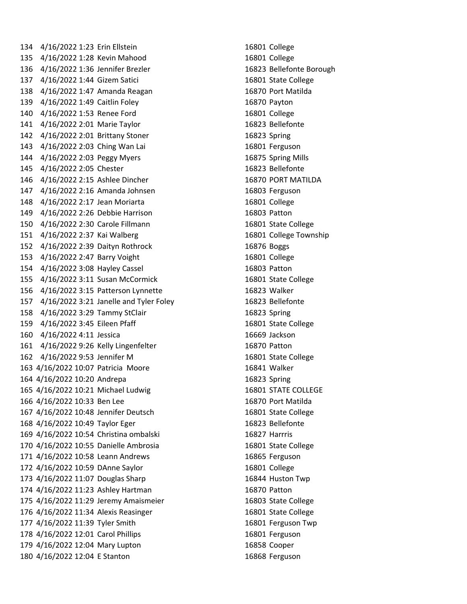4/16/2022 1:23 Erin Ellstein 16801 College 4/16/2022 1:28 Kevin Mahood 16801 College 4/16/2022 1:36 Jennifer Brezler 16823 Bellefonte Borough 4/16/2022 1:44 Gizem Satici 16801 State College 4/16/2022 1:47 Amanda Reagan 16870 Port Matilda 4/16/2022 1:49 Caitlin Foley 16870 Payton 4/16/2022 1:53 Renee Ford 16801 College 4/16/2022 2:01 Marie Taylor 16823 Bellefonte 4/16/2022 2:01 Brittany Stoner 16823 Spring 143 4/16/2022 2:03 Ching Wan Lai 16801 Ferguson 4/16/2022 2:03 Peggy Myers 16875 Spring Mills 4/16/2022 2:05 Chester 16823 Bellefonte 4/16/2022 2:15 Ashlee Dincher 16870 PORT MATILDA 4/16/2022 2:16 Amanda Johnsen 16803 Ferguson 4/16/2022 2:17 Jean Moriarta 16801 College 4/16/2022 2:26 Debbie Harrison 16803 Patton 4/16/2022 2:30 Carole Fillmann 16801 State College 4/16/2022 2:37 Kai Walberg 16801 College Township 4/16/2022 2:39 Daityn Rothrock 16876 Boggs 4/16/2022 2:47 Barry Voight 16801 College 4/16/2022 3:08 Hayley Cassel 16803 Patton 4/16/2022 3:11 Susan McCormick 16801 State College 4/16/2022 3:15 Patterson Lynnette 16823 Walker 4/16/2022 3:21 Janelle and Tyler Foley 16823 Bellefonte 4/16/2022 3:29 Tammy StClair 16823 Spring 4/16/2022 3:45 Eileen Pfaff 16801 State College 4/16/2022 4:11 Jessica 16669 Jackson 4/16/2022 9:26 Kelly Lingenfelter 16870 Patton 4/16/2022 9:53 Jennifer M 16801 State College 4/16/2022 10:07 Patricia Moore 16841 Walker 4/16/2022 10:20 Andrepa 16823 Spring 4/16/2022 10:21 Michael Ludwig 16801 STATE COLLEGE 4/16/2022 10:33 Ben Lee 16870 Port Matilda 4/16/2022 10:48 Jennifer Deutsch 16801 State College 4/16/2022 10:49 Taylor Eger 16823 Bellefonte 4/16/2022 10:54 Christina ombalski 16827 Harrris 4/16/2022 10:55 Danielle Ambrosia 16801 State College 4/16/2022 10:58 Leann Andrews 16865 Ferguson 4/16/2022 10:59 DAnne Saylor 16801 College 4/16/2022 11:07 Douglas Sharp 16844 Huston Twp 4/16/2022 11:23 Ashley Hartman 16870 Patton 4/16/2022 11:29 Jeremy Amaismeier 16803 State College 4/16/2022 11:34 Alexis Reasinger 16801 State College 4/16/2022 11:39 Tyler Smith 16801 Ferguson Twp 4/16/2022 12:01 Carol Phillips 16801 Ferguson 4/16/2022 12:04 Mary Lupton 16858 Cooper 4/16/2022 12:04 E Stanton 16868 Ferguson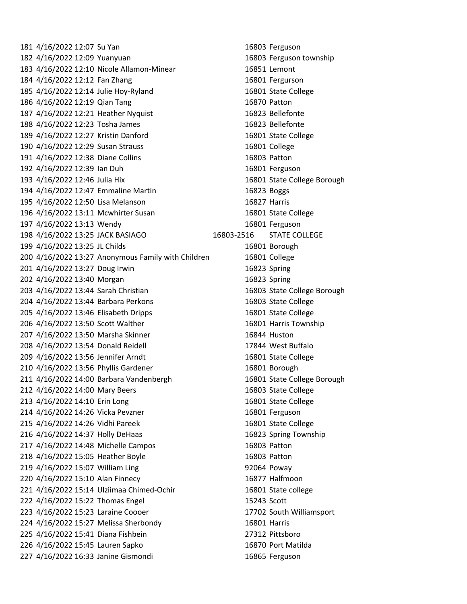4/16/2022 12:07 Su Yan 16803 Ferguson 4/16/2022 12:09 Yuanyuan 16803 Ferguson township 4/16/2022 12:10 Nicole Allamon-Minear 16851 Lemont 184 4/16/2022 12:12 Fan Zhang 16801 Fergurson 4/16/2022 12:14 Julie Hoy-Ryland 16801 State College 4/16/2022 12:19 Qian Tang 16870 Patton 4/16/2022 12:21 Heather Nyquist 16823 Bellefonte 4/16/2022 12:23 Tosha James 16823 Bellefonte 4/16/2022 12:27 Kristin Danford 16801 State College 4/16/2022 12:29 Susan Strauss 16801 College 4/16/2022 12:38 Diane Collins 16803 Patton 4/16/2022 12:39 Ian Duh 16801 Ferguson 4/16/2022 12:46 Julia Hix 16801 State College Borough 4/16/2022 12:47 Emmaline Martin 16823 Boggs 4/16/2022 12:50 Lisa Melanson 16827 Harris 4/16/2022 13:11 Mcwhirter Susan 16801 State College 4/16/2022 13:13 Wendy 16801 Ferguson 4/16/2022 13:25 JACK BASIAGO 16803-2516 STATE COLLEGE 4/16/2022 13:25 JL Childs 16801 Borough 4/16/2022 13:27 Anonymous Family with Children 16801 College 4/16/2022 13:27 Doug Irwin 16823 Spring 4/16/2022 13:40 Morgan 16823 Spring 4/16/2022 13:44 Sarah Christian 16803 State College Borough 4/16/2022 13:44 Barbara Perkons 16803 State College 4/16/2022 13:46 Elisabeth Dripps 16801 State College 4/16/2022 13:50 Scott Walther 16801 Harris Township 4/16/2022 13:50 Marsha Skinner 16844 Huston 4/16/2022 13:54 Donald Reidell 17844 West Buffalo 4/16/2022 13:56 Jennifer Arndt 16801 State College 210 4/16/2022 13:56 Phyllis Gardener 16801 Borough 4/16/2022 14:00 Barbara Vandenbergh 16801 State College Borough 4/16/2022 14:00 Mary Beers 16803 State College 4/16/2022 14:10 Erin Long 16801 State College 4/16/2022 14:26 Vicka Pevzner 16801 Ferguson 4/16/2022 14:26 Vidhi Pareek 16801 State College 4/16/2022 14:37 Holly DeHaas 16823 Spring Township 4/16/2022 14:48 Michelle Campos 16803 Patton 218 4/16/2022 15:05 Heather Boyle 16803 Patton 219 4/16/2022 15:07 William Ling 92064 Poway 4/16/2022 15:10 Alan Finnecy 16877 Halfmoon 4/16/2022 15:14 Ulziimaa Chimed-Ochir 16801 State college 4/16/2022 15:22 Thomas Engel 15243 Scott 4/16/2022 15:23 Laraine Coooer 17702 South Williamsport 4/16/2022 15:27 Melissa Sherbondy 16801 Harris 4/16/2022 15:41 Diana Fishbein 27312 Pittsboro 4/16/2022 15:45 Lauren Sapko 16870 Port Matilda 4/16/2022 16:33 Janine Gismondi 16865 Ferguson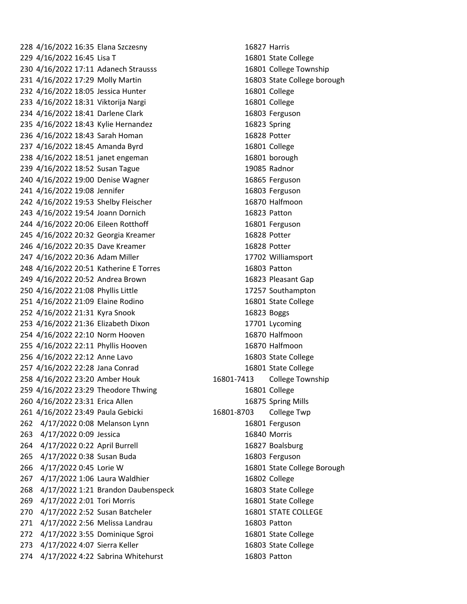4/16/2022 16:35 Elana Szczesny 16827 Harris 4/16/2022 16:45 Lisa T 16801 State College 4/16/2022 17:11 Adanech Strausss 16801 College Township 4/16/2022 17:29 Molly Martin 16803 State College borough 4/16/2022 18:05 Jessica Hunter 16801 College 4/16/2022 18:31 Viktorija Nargi 16801 College 234 4/16/2022 18:41 Darlene Clark 16803 Ferguson 4/16/2022 18:43 Kylie Hernandez 16823 Spring 4/16/2022 18:43 Sarah Homan 16828 Potter 4/16/2022 18:45 Amanda Byrd 16801 College 4/16/2022 18:51 janet engeman 16801 borough 4/16/2022 18:52 Susan Tague 19085 Radnor 240 4/16/2022 19:00 Denise Wagner 16865 Ferguson 4/16/2022 19:08 Jennifer 16803 Ferguson 4/16/2022 19:53 Shelby Fleischer 16870 Halfmoon 4/16/2022 19:54 Joann Dornich 16823 Patton 4/16/2022 20:06 Eileen Rotthoff 16801 Ferguson 4/16/2022 20:32 Georgia Kreamer 16828 Potter 4/16/2022 20:35 Dave Kreamer 16828 Potter 4/16/2022 20:36 Adam Miller 17702 Williamsport 4/16/2022 20:51 Katherine E Torres 16803 Patton 4/16/2022 20:52 Andrea Brown 16823 Pleasant Gap 4/16/2022 21:08 Phyllis Little 17257 Southampton 4/16/2022 21:09 Elaine Rodino 16801 State College 4/16/2022 21:31 Kyra Snook 16823 Boggs 4/16/2022 21:36 Elizabeth Dixon 17701 Lycoming 4/16/2022 22:10 Norm Hooven 16870 Halfmoon 4/16/2022 22:11 Phyllis Hooven 16870 Halfmoon 4/16/2022 22:12 Anne Lavo 16803 State College 4/16/2022 22:28 Jana Conrad 16801 State College 4/16/2022 23:20 Amber Houk 16801-7413 College Township 4/16/2022 23:29 Theodore Thwing 16801 College 4/16/2022 23:31 Erica Allen 16875 Spring Mills 4/16/2022 23:49 Paula Gebicki 16801-8703 College Twp 262 4/17/2022 0:08 Melanson Lynn 16801 Ferguson 4/17/2022 0:09 Jessica 16840 Morris 4/17/2022 0:22 April Burrell 16827 Boalsburg 4/17/2022 0:38 Susan Buda 16803 Ferguson 4/17/2022 0:45 Lorie W 16801 State College Borough 4/17/2022 1:06 Laura Waldhier 16802 College 4/17/2022 1:21 Brandon Daubenspeck 16803 State College 4/17/2022 2:01 Tori Morris 16801 State College 270 4/17/2022 2:52 Susan Batcheler 16801 STATE COLLEGE 4/17/2022 2:56 Melissa Landrau 16803 Patton 4/17/2022 3:55 Dominique Sgroi 16801 State College 4/17/2022 4:07 Sierra Keller 16803 State College 4/17/2022 4:22 Sabrina Whitehurst 16803 Patton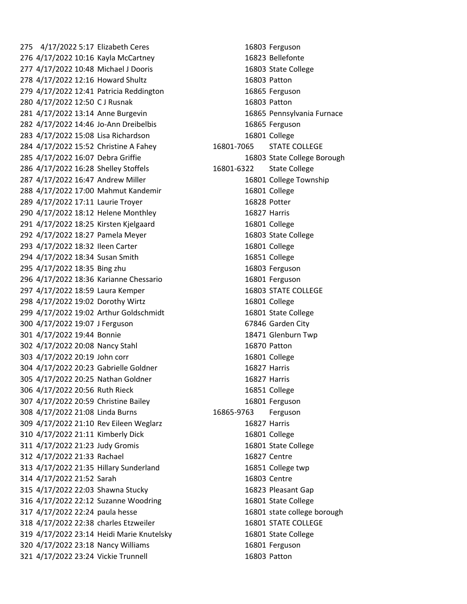4/17/2022 5:17 Elizabeth Ceres 16803 Ferguson 4/17/2022 10:16 Kayla McCartney 16823 Bellefonte 4/17/2022 10:48 Michael J Dooris 16803 State College 4/17/2022 12:16 Howard Shultz 16803 Patton 4/17/2022 12:41 Patricia Reddington 16865 Ferguson 4/17/2022 12:50 C J Rusnak 16803 Patton 4/17/2022 13:14 Anne Burgevin 16865 Pennsylvania Furnace 4/17/2022 14:46 Jo-Ann Dreibelbis 16865 Ferguson 4/17/2022 15:08 Lisa Richardson 16801 College 4/17/2022 15:52 Christine A Fahey 16801-7065 STATE COLLEGE 4/17/2022 16:07 Debra Griffie 16803 State College Borough 4/17/2022 16:28 Shelley Stoffels 16801-6322 State College 287 4/17/2022 16:47 Andrew Miller 16801 College Township 4/17/2022 17:00 Mahmut Kandemir 16801 College 4/17/2022 17:11 Laurie Troyer 16828 Potter 4/17/2022 18:12 Helene Monthley 16827 Harris 4/17/2022 18:25 Kirsten Kjelgaard 16801 College 4/17/2022 18:27 Pamela Meyer 16803 State College 293 4/17/2022 18:32 Ileen Carter 16801 College 4/17/2022 18:34 Susan Smith 16851 College 4/17/2022 18:35 Bing zhu 16803 Ferguson 4/17/2022 18:36 Karianne Chessario 16801 Ferguson 297 4/17/2022 18:59 Laura Kemper 16803 STATE COLLEGE 4/17/2022 19:02 Dorothy Wirtz 16801 College 4/17/2022 19:02 Arthur Goldschmidt 16801 State College 4/17/2022 19:07 J Ferguson 67846 Garden City 4/17/2022 19:44 Bonnie 18471 Glenburn Twp 4/17/2022 20:08 Nancy Stahl 16870 Patton 4/17/2022 20:19 John corr 16801 College 4/17/2022 20:23 Gabrielle Goldner 16827 Harris 4/17/2022 20:25 Nathan Goldner 16827 Harris 4/17/2022 20:56 Ruth Rieck 16851 College 4/17/2022 20:59 Christine Bailey 16801 Ferguson 4/17/2022 21:08 Linda Burns 16865-9763 Ferguson 4/17/2022 21:10 Rev Eileen Weglarz 16827 Harris 4/17/2022 21:11 Kimberly Dick 16801 College 4/17/2022 21:23 Judy Gromis 16801 State College 4/17/2022 21:33 Rachael 16827 Centre 4/17/2022 21:35 Hillary Sunderland 16851 College twp 4/17/2022 21:52 Sarah 16803 Centre 4/17/2022 22:03 Shawna Stucky 16823 Pleasant Gap 4/17/2022 22:12 Suzanne Woodring 16801 State College 4/17/2022 22:24 paula hesse 16801 state college borough 4/17/2022 22:38 charles Etzweiler 16801 STATE COLLEGE 4/17/2022 23:14 Heidi Marie Knutelsky 16801 State College 4/17/2022 23:18 Nancy Williams 16801 Ferguson 4/17/2022 23:24 Vickie Trunnell 16803 Patton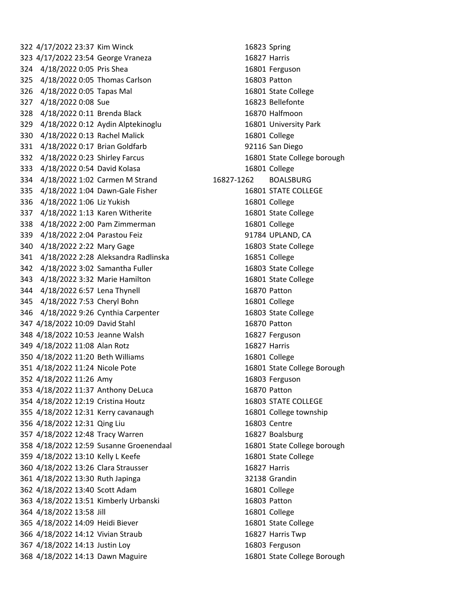4/17/2022 23:37 Kim Winck 16823 Spring 4/17/2022 23:54 George Vraneza 16827 Harris 4/18/2022 0:05 Pris Shea 16801 Ferguson 4/18/2022 0:05 Thomas Carlson 16803 Patton 4/18/2022 0:05 Tapas Mal 16801 State College 327 4/18/2022 0:08 Sue 16823 Bellefonte 4/18/2022 0:11 Brenda Black 16870 Halfmoon 4/18/2022 0:12 Aydin Alptekinoglu 16801 University Park 4/18/2022 0:13 Rachel Malick 16801 College 4/18/2022 0:17 Brian Goldfarb 92116 San Diego 4/18/2022 0:23 Shirley Farcus 16801 State College borough 4/18/2022 0:54 David Kolasa 16801 College 4/18/2022 1:02 Carmen M Strand 16827-1262 BOALSBURG 4/18/2022 1:04 Dawn-Gale Fisher 16801 STATE COLLEGE 4/18/2022 1:06 Liz Yukish 16801 College 4/18/2022 1:13 Karen Witherite 16801 State College 4/18/2022 2:00 Pam Zimmerman 16801 College 4/18/2022 2:04 Parastou Feiz 91784 UPLAND, CA 340 4/18/2022 2:22 Mary Gage 16803 State College 4/18/2022 2:28 Aleksandra Radlinska 16851 College 4/18/2022 3:02 Samantha Fuller 16803 State College 4/18/2022 3:32 Marie Hamilton 16801 State College 4/18/2022 6:57 Lena Thynell 16870 Patton 4/18/2022 7:53 Cheryl Bohn 16801 College 4/18/2022 9:26 Cynthia Carpenter 16803 State College 4/18/2022 10:09 David Stahl 16870 Patton 4/18/2022 10:53 Jeanne Walsh 16827 Ferguson 4/18/2022 11:08 Alan Rotz 16827 Harris 4/18/2022 11:20 Beth Williams 16801 College 4/18/2022 11:24 Nicole Pote 16801 State College Borough 4/18/2022 11:26 Amy 16803 Ferguson 4/18/2022 11:37 Anthony DeLuca 16870 Patton 4/18/2022 12:19 Cristina Houtz 16803 STATE COLLEGE 4/18/2022 12:31 Kerry cavanaugh 16801 College township 4/18/2022 12:31 Qing Liu 16803 Centre 4/18/2022 12:48 Tracy Warren 16827 Boalsburg 4/18/2022 12:59 Susanne Groenendaal 16801 State College borough 359 4/18/2022 13:10 Kelly L Keefe 16801 State College 4/18/2022 13:26 Clara Strausser 16827 Harris 4/18/2022 13:30 Ruth Japinga 32138 Grandin 4/18/2022 13:40 Scott Adam 16801 College 4/18/2022 13:51 Kimberly Urbanski 16803 Patton 4/18/2022 13:58 Jill 16801 College 4/18/2022 14:09 Heidi Biever 16801 State College 4/18/2022 14:12 Vivian Straub 16827 Harris Twp 4/18/2022 14:13 Justin Loy 16803 Ferguson 4/18/2022 14:13 Dawn Maguire 16801 State College Borough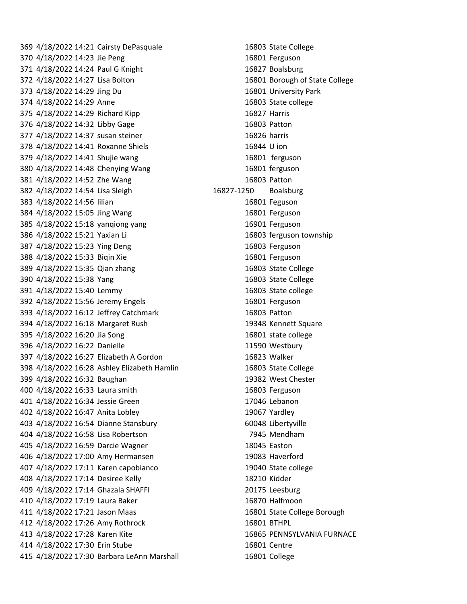4/18/2022 14:21 Cairsty DePasquale 16803 State College 4/18/2022 14:23 Jie Peng 16801 Ferguson 4/18/2022 14:24 Paul G Knight 16827 Boalsburg 4/18/2022 14:27 Lisa Bolton 16801 Borough of State College 4/18/2022 14:29 Jing Du 16801 University Park 4/18/2022 14:29 Anne 16803 State college 4/18/2022 14:29 Richard Kipp 16827 Harris 4/18/2022 14:32 Libby Gage 16803 Patton 4/18/2022 14:37 susan steiner 16826 harris 4/18/2022 14:41 Roxanne Shiels 16844 U ion 4/18/2022 14:41 Shujie wang 16801 ferguson 380 4/18/2022 14:48 Chenying Wang 16801 ferguson 4/18/2022 14:52 Zhe Wang 16803 Patton 4/18/2022 14:54 Lisa Sleigh 16827-1250 Boalsburg 4/18/2022 14:56 lilian 16801 Feguson 4/18/2022 15:05 Jing Wang 16801 Ferguson 4/18/2022 15:18 yanqiong yang 16901 Ferguson 4/18/2022 15:21 Yaxian Li 16803 ferguson township 4/18/2022 15:23 Ying Deng 16803 Ferguson 4/18/2022 15:33 Biqin Xie 16801 Ferguson 4/18/2022 15:35 Qian zhang 16803 State College 4/18/2022 15:38 Yang 16803 State College 4/18/2022 15:40 Lemmy 16803 State college 392 4/18/2022 15:56 Jeremy Engels 16801 Ferguson 4/18/2022 16:12 Jeffrey Catchmark 16803 Patton 4/18/2022 16:18 Margaret Rush 19348 Kennett Square 4/18/2022 16:20 Jia Song 16801 state college 4/18/2022 16:22 Danielle 11590 Westbury 4/18/2022 16:27 Elizabeth A Gordon 16823 Walker 4/18/2022 16:28 Ashley Elizabeth Hamlin 16803 State College 4/18/2022 16:32 Baughan 19382 West Chester 4/18/2022 16:33 Laura smith 16803 Ferguson 4/18/2022 16:34 Jessie Green 17046 Lebanon 4/18/2022 16:47 Anita Lobley 19067 Yardley 4/18/2022 16:54 Dianne Stansbury 60048 Libertyville 4/18/2022 16:58 Lisa Robertson 7945 Mendham 4/18/2022 16:59 Darcie Wagner 18045 Easton 4/18/2022 17:00 Amy Hermansen 19083 Haverford 4/18/2022 17:11 Karen capobianco 19040 State college 4/18/2022 17:14 Desiree Kelly 18210 Kidder 4/18/2022 17:14 Ghazala SHAFFI 20175 Leesburg 4/18/2022 17:19 Laura Baker 16870 Halfmoon 4/18/2022 17:21 Jason Maas 16801 State College Borough 4/18/2022 17:26 Amy Rothrock 16801 BTHPL 4/18/2022 17:28 Karen Kite 16865 PENNSYLVANIA FURNACE 4/18/2022 17:30 Erin Stube 16801 Centre 4/18/2022 17:30 Barbara LeAnn Marshall 16801 College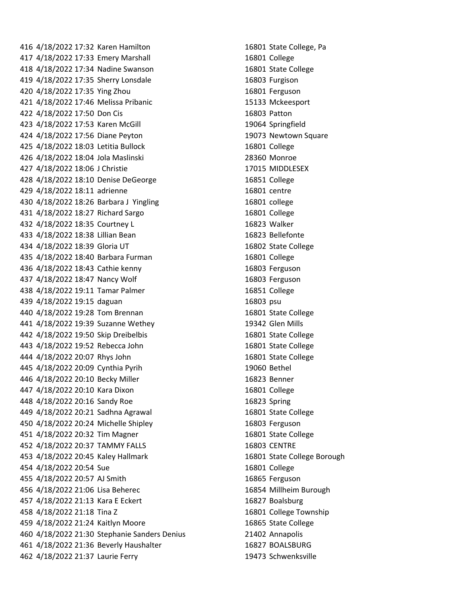4/18/2022 17:32 Karen Hamilton 16801 State College, Pa 4/18/2022 17:33 Emery Marshall 16801 College 4/18/2022 17:34 Nadine Swanson 16801 State College 4/18/2022 17:35 Sherry Lonsdale 16803 Furgison 4/18/2022 17:35 Ying Zhou 16801 Ferguson 4/18/2022 17:46 Melissa Pribanic 15133 Mckeesport 4/18/2022 17:50 Don Cis 16803 Patton 4/18/2022 17:53 Karen McGill 19064 Springfield 4/18/2022 17:56 Diane Peyton 19073 Newtown Square 4/18/2022 18:03 Letitia Bullock 16801 College 4/18/2022 18:04 Jola Maslinski 28360 Monroe 4/18/2022 18:06 J Christie 17015 MIDDLESEX 4/18/2022 18:10 Denise DeGeorge 16851 College 4/18/2022 18:11 adrienne 16801 centre 4/18/2022 18:26 Barbara J Yingling 16801 college 4/18/2022 18:27 Richard Sargo 16801 College 4/18/2022 18:35 Courtney L 16823 Walker 4/18/2022 18:38 Lillian Bean 16823 Bellefonte 4/18/2022 18:39 Gloria UT 16802 State College 4/18/2022 18:40 Barbara Furman 16801 College 4/18/2022 18:43 Cathie kenny 16803 Ferguson 4/18/2022 18:47 Nancy Wolf 16803 Ferguson 4/18/2022 19:11 Tamar Palmer 16851 College 4/18/2022 19:15 daguan 16803 psu 4/18/2022 19:28 Tom Brennan 16801 State College 4/18/2022 19:39 Suzanne Wethey 19342 Glen Mills 4/18/2022 19:50 Skip Dreibelbis 16801 State College 4/18/2022 19:52 Rebecca John 16801 State College 4/18/2022 20:07 Rhys John 16801 State College 4/18/2022 20:09 Cynthia Pyrih 19060 Bethel 4/18/2022 20:10 Becky Miller 16823 Benner 4/18/2022 20:10 Kara Dixon 16801 College 4/18/2022 20:16 Sandy Roe 16823 Spring 4/18/2022 20:21 Sadhna Agrawal 16801 State College 4/18/2022 20:24 Michelle Shipley 16803 Ferguson 4/18/2022 20:32 Tim Magner 16801 State College 452 4/18/2022 20:37 TAMMY FALLS 16803 CENTRE 4/18/2022 20:45 Kaley Hallmark 16801 State College Borough 4/18/2022 20:54 Sue 16801 College 4/18/2022 20:57 AJ Smith 16865 Ferguson 4/18/2022 21:06 Lisa Beherec 16854 Millheim Burough 4/18/2022 21:13 Kara E Eckert 16827 Boalsburg 4/18/2022 21:18 Tina Z 16801 College Township 4/18/2022 21:24 Kaitlyn Moore 16865 State College 4/18/2022 21:30 Stephanie Sanders Denius 21402 Annapolis 4/18/2022 21:36 Beverly Haushalter 16827 BOALSBURG 4/18/2022 21:37 Laurie Ferry 19473 Schwenksville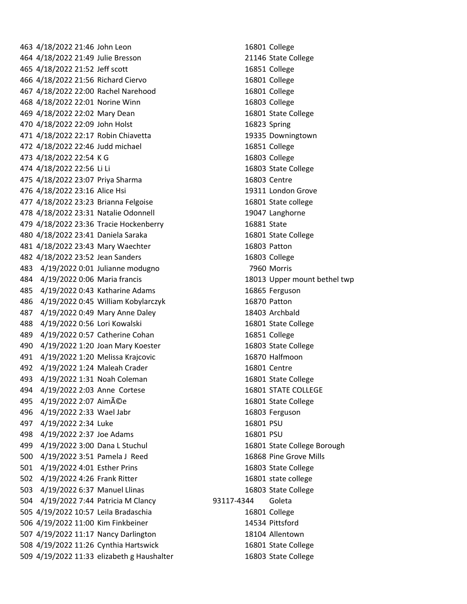4/18/2022 21:46 John Leon 16801 College 4/18/2022 21:49 Julie Bresson 21146 State College 4/18/2022 21:52 Jeff scott 16851 College 4/18/2022 21:56 Richard Ciervo 16801 College 4/18/2022 22:00 Rachel Narehood 16801 College 4/18/2022 22:01 Norine Winn 16803 College 4/18/2022 22:02 Mary Dean 16801 State College 4/18/2022 22:09 John Holst 16823 Spring 4/18/2022 22:17 Robin Chiavetta 19335 Downingtown 4/18/2022 22:46 Judd michael 16851 College 4/18/2022 22:54 K G 16803 College 4/18/2022 22:56 Li Li 16803 State College 4/18/2022 23:07 Priya Sharma 16803 Centre 4/18/2022 23:16 Alice Hsi 19311 London Grove 4/18/2022 23:23 Brianna Felgoise 16801 State college 478 4/18/2022 23:31 Natalie Odonnell 19047 Langhorne 4/18/2022 23:36 Tracie Hockenberry 16881 State 4/18/2022 23:41 Daniela Saraka 16801 State College 4/18/2022 23:43 Mary Waechter 16803 Patton 4/18/2022 23:52 Jean Sanders 16803 College 4/19/2022 0:01 Julianne modugno 7960 Morris 4/19/2022 0:06 Maria francis 18013 Upper mount bethel twp 4/19/2022 0:43 Katharine Adams 16865 Ferguson 4/19/2022 0:45 William Kobylarczyk 16870 Patton 4/19/2022 0:49 Mary Anne Daley 18403 Archbald 4/19/2022 0:56 Lori Kowalski 16801 State College 489 4/19/2022 0:57 Catherine Cohan 16851 College 4/19/2022 1:20 Joan Mary Koester 16803 State College 4/19/2022 1:20 Melissa Krajcovic 16870 Halfmoon 4/19/2022 1:24 Maleah Crader 16801 Centre 4/19/2022 1:31 Noah Coleman 16801 State College 4/19/2022 2:03 Anne Cortese 16801 STATE COLLEGE 495 4/19/2022 2:07 Aimée 16801 State College 4/19/2022 2:33 Wael Jabr 16803 Ferguson 497 4/19/2022 2:34 Luke 16801 PSU 4/19/2022 2:37 Joe Adams 16801 PSU 4/19/2022 3:00 Dana L Stuchul 16801 State College Borough 4/19/2022 3:51 Pamela J Reed 16868 Pine Grove Mills 4/19/2022 4:01 Esther Prins 16803 State College 4/19/2022 4:26 Frank Ritter 16801 state college 4/19/2022 6:37 Manuel Llinas 16803 State College 4/19/2022 7:44 Patricia M Clancy 93117-4344 Goleta 4/19/2022 10:57 Leila Bradaschia 16801 College 4/19/2022 11:00 Kim Finkbeiner 14534 Pittsford 4/19/2022 11:17 Nancy Darlington 18104 Allentown 4/19/2022 11:26 Cynthia Hartswick 16801 State College 4/19/2022 11:33 elizabeth g Haushalter 16803 State College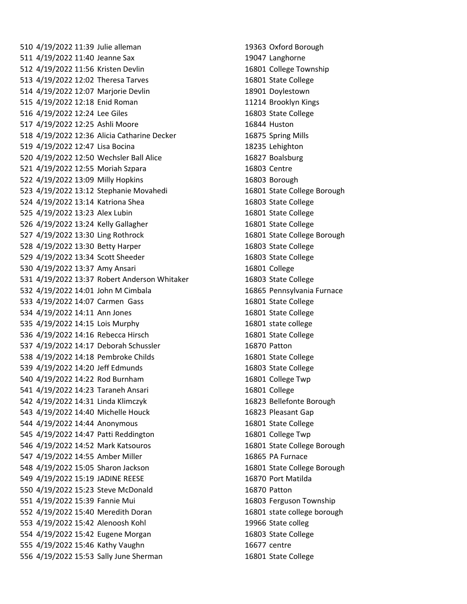4/19/2022 11:39 Julie alleman 19363 Oxford Borough 4/19/2022 11:40 Jeanne Sax 19047 Langhorne 4/19/2022 11:56 Kristen Devlin 16801 College Township 4/19/2022 12:02 Theresa Tarves 16801 State College 4/19/2022 12:07 Marjorie Devlin 18901 Doylestown 4/19/2022 12:18 Enid Roman 11214 Brooklyn Kings 4/19/2022 12:24 Lee Giles 16803 State College 4/19/2022 12:25 Ashli Moore 16844 Huston 4/19/2022 12:36 Alicia Catharine Decker 16875 Spring Mills 4/19/2022 12:47 Lisa Bocina 18235 Lehighton 4/19/2022 12:50 Wechsler Ball Alice 16827 Boalsburg 4/19/2022 12:55 Moriah Szpara 16803 Centre 4/19/2022 13:09 Milly Hopkins 16803 Borough 4/19/2022 13:12 Stephanie Movahedi 16801 State College Borough 4/19/2022 13:14 Katriona Shea 16803 State College 4/19/2022 13:23 Alex Lubin 16801 State College 4/19/2022 13:24 Kelly Gallagher 16801 State College 4/19/2022 13:30 Ling Rothrock 16801 State College Borough 4/19/2022 13:30 Betty Harper 16803 State College 4/19/2022 13:34 Scott Sheeder 16803 State College 530 4/19/2022 13:37 Amy Ansari 16801 College 4/19/2022 13:37 Robert Anderson Whitaker 16803 State College 4/19/2022 14:01 John M Cimbala 16865 Pennsylvania Furnace 4/19/2022 14:07 Carmen Gass 16801 State College 4/19/2022 14:11 Ann Jones 16801 State College 4/19/2022 14:15 Lois Murphy 16801 state college 4/19/2022 14:16 Rebecca Hirsch 16801 State College 4/19/2022 14:17 Deborah Schussler 16870 Patton 4/19/2022 14:18 Pembroke Childs 16801 State College 4/19/2022 14:20 Jeff Edmunds 16803 State College 4/19/2022 14:22 Rod Burnham 16801 College Twp 541 4/19/2022 14:23 Taraneh Ansari 16801 College 4/19/2022 14:31 Linda Klimczyk 16823 Bellefonte Borough 4/19/2022 14:40 Michelle Houck 16823 Pleasant Gap 4/19/2022 14:44 Anonymous 16801 State College 4/19/2022 14:47 Patti Reddington 16801 College Twp 4/19/2022 14:52 Mark Katsouros 16801 State College Borough 547 4/19/2022 14:55 Amber Miller 16865 PA Furnace 4/19/2022 15:05 Sharon Jackson 16801 State College Borough 4/19/2022 15:19 JADINE REESE 16870 Port Matilda 4/19/2022 15:23 Steve McDonald 16870 Patton 4/19/2022 15:39 Fannie Mui 16803 Ferguson Township 4/19/2022 15:40 Meredith Doran 16801 state college borough 4/19/2022 15:42 Alenoosh Kohl 19966 State colleg 4/19/2022 15:42 Eugene Morgan 16803 State College 4/19/2022 15:46 Kathy Vaughn 16677 centre 556 4/19/2022 15:53 Sally June Sherman 16801 State College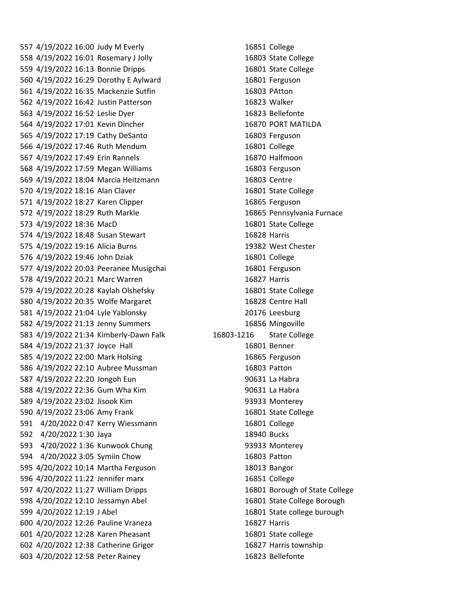4/19/2022 16:00 Judy M Everly 16851 College 4/19/2022 16:01 Rosemary J Jolly 16803 State College 4/19/2022 16:13 Bonnie Dripps 16801 State College 4/19/2022 16:29 Dorothy E Aylward 16801 Ferguson 4/19/2022 16:35 Mackenzie Sutfin 16803 PAtton 4/19/2022 16:42 Justin Patterson 16823 Walker 4/19/2022 16:52 Leslie Dyer 16823 Bellefonte 4/19/2022 17:01 Kevin Dincher 16870 PORT MATILDA 4/19/2022 17:19 Cathy DeSanto 16803 Ferguson 4/19/2022 17:46 Ruth Mendum 16801 College 4/19/2022 17:49 Erin Rannels 16870 Halfmoon 4/19/2022 17:59 Megan Williams 16803 Ferguson 4/19/2022 18:04 Marcia Heitzmann 16803 Centre 4/19/2022 18:16 Alan Claver 16801 State College 4/19/2022 18:27 Karen Clipper 16865 Ferguson 4/19/2022 18:29 Ruth Markle 16865 Pennsylvania Furnace 573 4/19/2022 18:36 MacD 16801 State College 4/19/2022 18:48 Susan Stewart 16828 Harris 4/19/2022 19:16 Alicia Burns 19382 West Chester 4/19/2022 19:46 John Dziak 16801 College 577 4/19/2022 20:03 Peeranee Musigchai 16801 Ferguson 4/19/2022 20:21 Marc Warren 16827 Harris 4/19/2022 20:28 Kaylah Olshefsky 16801 State College 580 4/19/2022 20:35 Wolfe Margaret 16828 Centre Hall 4/19/2022 21:04 Lyle Yablonsky 20176 Leesburg 4/19/2022 21:13 Jenny Summers 16856 Mingoville 4/19/2022 21:34 Kimberly-Dawn Falk 16803-1216 State College 584 4/19/2022 21:37 Joyce Hall 16801 Benner 585 4/19/2022 22:00 Mark Holsing 16865 Ferguson 4/19/2022 22:10 Aubree Mussman 16803 Patton 4/19/2022 22:20 Jongoh Eun 90631 La Habra 4/19/2022 22:36 Gum Wha Kim 90631 La Habra 4/19/2022 23:02 Jisook Kim 93933 Monterey 4/19/2022 23:06 Amy Frank 16801 State College 4/20/2022 0:47 Kerry Wiessmann 16801 College 4/20/2022 1:30 Jaya 18940 Bucks 4/20/2022 1:36 Kunwook Chung 93933 Monterey 4/20/2022 3:05 Symiin Chow 16803 Patton 4/20/2022 10:14 Martha Ferguson 18013 Bangor 4/20/2022 11:22 Jennifer marx 16851 College 4/20/2022 11:27 William Dripps 16801 Borough of State College 4/20/2022 12:10 Jessamyn Abel 16801 State College Borough 4/20/2022 12:19 J Abel 16801 State college burough 4/20/2022 12:26 Pauline Vraneza 16827 Harris 4/20/2022 12:28 Karen Pheasant 16801 State college 4/20/2022 12:38 Catherine Grigor 16827 Harris township 4/20/2022 12:58 Peter Rainey 16823 Bellefonte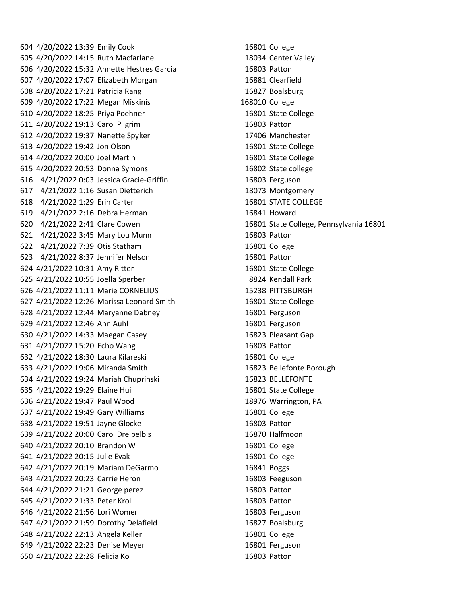4/20/2022 13:39 Emily Cook 16801 College 4/20/2022 14:15 Ruth Macfarlane 18034 Center Valley 4/20/2022 15:32 Annette Hestres Garcia 16803 Patton 4/20/2022 17:07 Elizabeth Morgan 16881 Clearfield 4/20/2022 17:21 Patricia Rang 16827 Boalsburg 4/20/2022 17:22 Megan Miskinis 168010 College 4/20/2022 18:25 Priya Poehner 16801 State College 4/20/2022 19:13 Carol Pilgrim 16803 Patton 4/20/2022 19:37 Nanette Spyker 17406 Manchester 4/20/2022 19:42 Jon Olson 16801 State College 4/20/2022 20:00 Joel Martin 16801 State College 4/20/2022 20:53 Donna Symons 16802 State college 4/21/2022 0:03 Jessica Gracie-Griffin 16803 Ferguson 4/21/2022 1:16 Susan Dietterich 18073 Montgomery 4/21/2022 1:29 Erin Carter 16801 STATE COLLEGE 4/21/2022 2:16 Debra Herman 16841 Howard 4/21/2022 2:41 Clare Cowen 16801 State College, Pennsylvania 16801 4/21/2022 3:45 Mary Lou Munn 16803 Patton 4/21/2022 7:39 Otis Statham 16801 College 4/21/2022 8:37 Jennifer Nelson 16801 Patton 4/21/2022 10:31 Amy Ritter 16801 State College 4/21/2022 10:55 Joella Sperber 8824 Kendall Park 4/21/2022 11:11 Marie CORNELIUS 15238 PITTSBURGH 4/21/2022 12:26 Marissa Leonard Smith 16801 State College 4/21/2022 12:44 Maryanne Dabney 16801 Ferguson 4/21/2022 12:46 Ann Auhl 16801 Ferguson 4/21/2022 14:33 Maegan Casey 16823 Pleasant Gap 4/21/2022 15:20 Echo Wang 16803 Patton 4/21/2022 18:30 Laura Kilareski 16801 College 4/21/2022 19:06 Miranda Smith 16823 Bellefonte Borough 4/21/2022 19:24 Mariah Chuprinski 16823 BELLEFONTE 4/21/2022 19:29 Elaine Hui 16801 State College 4/21/2022 19:47 Paul Wood 18976 Warrington, PA 4/21/2022 19:49 Gary Williams 16801 College 4/21/2022 19:51 Jayne Glocke 16803 Patton 4/21/2022 20:00 Carol Dreibelbis 16870 Halfmoon 4/21/2022 20:10 Brandon W 16801 College 4/21/2022 20:15 Julie Evak 16801 College 4/21/2022 20:19 Mariam DeGarmo 16841 Boggs 4/21/2022 20:23 Carrie Heron 16803 Feeguson 4/21/2022 21:21 George perez 16803 Patton 4/21/2022 21:33 Peter Krol 16803 Patton 646 4/21/2022 21:56 Lori Womer 16803 Ferguson 4/21/2022 21:59 Dorothy Delafield 16827 Boalsburg 4/21/2022 22:13 Angela Keller 16801 College 649 4/21/2022 22:23 Denise Meyer 16801 Ferguson 4/21/2022 22:28 Felicia Ko 16803 Patton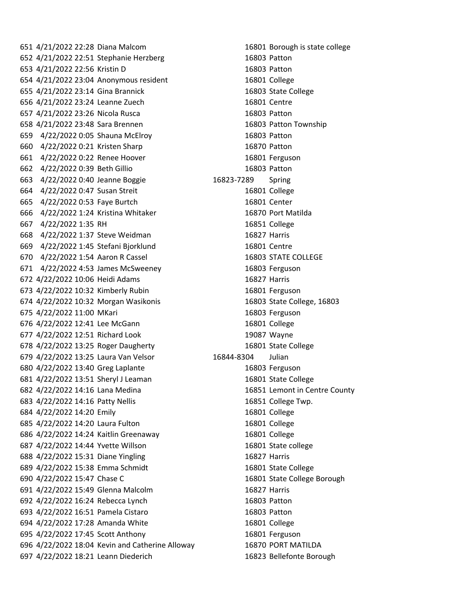4/21/2022 22:28 Diana Malcom 16801 Borough is state college 4/21/2022 22:51 Stephanie Herzberg 16803 Patton 4/21/2022 22:56 Kristin D 16803 Patton 4/21/2022 23:04 Anonymous resident 16801 College 4/21/2022 23:14 Gina Brannick 16803 State College 4/21/2022 23:24 Leanne Zuech 16801 Centre 4/21/2022 23:26 Nicola Rusca 16803 Patton 4/21/2022 23:48 Sara Brennen 16803 Patton Township 4/22/2022 0:05 Shauna McElroy 16803 Patton 4/22/2022 0:21 Kristen Sharp 16870 Patton 4/22/2022 0:22 Renee Hoover 16801 Ferguson 4/22/2022 0:39 Beth Gillio 16803 Patton 4/22/2022 0:40 Jeanne Boggie 16823-7289 Spring 4/22/2022 0:47 Susan Streit 16801 College 4/22/2022 0:53 Faye Burtch 16801 Center 4/22/2022 1:24 Kristina Whitaker 16870 Port Matilda 4/22/2022 1:35 RH 16851 College 4/22/2022 1:37 Steve Weidman 16827 Harris 4/22/2022 1:45 Stefani Bjorklund 16801 Centre 670 4/22/2022 1:54 Aaron R Cassel 16803 STATE COLLEGE 4/22/2022 4:53 James McSweeney 16803 Ferguson 4/22/2022 10:06 Heidi Adams 16827 Harris 4/22/2022 10:32 Kimberly Rubin 16801 Ferguson 4/22/2022 10:32 Morgan Wasikonis 16803 State College, 16803 4/22/2022 11:00 MKari 16803 Ferguson 4/22/2022 12:41 Lee McGann 16801 College 4/22/2022 12:51 Richard Look 19087 Wayne 4/22/2022 13:25 Roger Daugherty 16801 State College 4/22/2022 13:25 Laura Van Velsor 16844-8304 Julian 4/22/2022 13:40 Greg Laplante 16803 Ferguson 4/22/2022 13:51 Sheryl J Leaman 16801 State College 4/22/2022 14:16 Lana Medina 16851 Lemont in Centre County 4/22/2022 14:16 Patty Nellis 16851 College Twp. 4/22/2022 14:20 Emily 16801 College 4/22/2022 14:20 Laura Fulton 16801 College 4/22/2022 14:24 Kaitlin Greenaway 16801 College 4/22/2022 14:44 Yvette Willson 16801 State college 4/22/2022 15:31 Diane Yingling 16827 Harris 4/22/2022 15:38 Emma Schmidt 16801 State College 4/22/2022 15:47 Chase C 16801 State College Borough 4/22/2022 15:49 Glenna Malcolm 16827 Harris 4/22/2022 16:24 Rebecca Lynch 16803 Patton 4/22/2022 16:51 Pamela Cistaro 16803 Patton 4/22/2022 17:28 Amanda White 16801 College 4/22/2022 17:45 Scott Anthony 16801 Ferguson 4/22/2022 18:04 Kevin and Catherine Alloway 16870 PORT MATILDA 4/22/2022 18:21 Leann Diederich 16823 Bellefonte Borough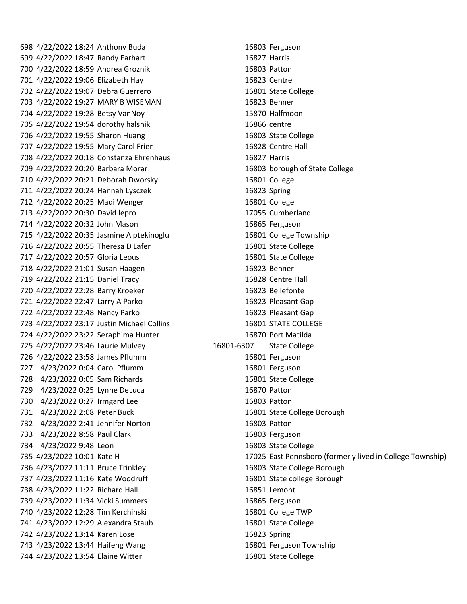4/22/2022 18:24 Anthony Buda 16803 Ferguson 4/22/2022 18:47 Randy Earhart 16827 Harris 4/22/2022 18:59 Andrea Groznik 16803 Patton 4/22/2022 19:06 Elizabeth Hay 16823 Centre 4/22/2022 19:07 Debra Guerrero 16801 State College 4/22/2022 19:27 MARY B WISEMAN 16823 Benner 4/22/2022 19:28 Betsy VanNoy 15870 Halfmoon 4/22/2022 19:54 dorothy halsnik 16866 centre 4/22/2022 19:55 Sharon Huang 16803 State College 707 4/22/2022 19:55 Mary Carol Frier 16828 Centre Hall 4/22/2022 20:18 Constanza Ehrenhaus 16827 Harris 4/22/2022 20:20 Barbara Morar 16803 borough of State College 4/22/2022 20:21 Deborah Dworsky 16801 College 4/22/2022 20:24 Hannah Lysczek 16823 Spring 4/22/2022 20:25 Madi Wenger 16801 College 4/22/2022 20:30 David lepro 17055 Cumberland 714 4/22/2022 20:32 John Mason 16865 Ferguson 4/22/2022 20:35 Jasmine Alptekinoglu 16801 College Township 4/22/2022 20:55 Theresa D Lafer 16801 State College 4/22/2022 20:57 Gloria Leous 16801 State College 4/22/2022 21:01 Susan Haagen 16823 Benner 4/22/2022 21:15 Daniel Tracy 16828 Centre Hall 4/22/2022 22:28 Barry Kroeker 16823 Bellefonte 4/22/2022 22:47 Larry A Parko 16823 Pleasant Gap 4/22/2022 22:48 Nancy Parko 16823 Pleasant Gap 4/22/2022 23:17 Justin Michael Collins 16801 STATE COLLEGE 4/22/2022 23:22 Seraphima Hunter 16870 Port Matilda 4/22/2022 23:46 Laurie Mulvey 16801-6307 State College 4/22/2022 23:58 James Pflumm 16801 Ferguson 4/23/2022 0:04 Carol Pflumm 16801 Ferguson 4/23/2022 0:05 Sam Richards 16801 State College 4/23/2022 0:25 Lynne DeLuca 16870 Patton 4/23/2022 0:27 Irmgard Lee 16803 Patton 4/23/2022 2:08 Peter Buck 16801 State College Borough 4/23/2022 2:41 Jennifer Norton 16803 Patton 4/23/2022 8:58 Paul Clark 16803 Ferguson 4/23/2022 9:48 Leon 16803 State College 4/23/2022 11:11 Bruce Trinkley 16803 State College Borough 4/23/2022 11:16 Kate Woodruff 16801 State college Borough 4/23/2022 11:22 Richard Hall 16851 Lemont 4/23/2022 11:34 Vicki Summers 16865 Ferguson 4/23/2022 12:28 Tim Kerchinski 16801 College TWP 4/23/2022 12:29 Alexandra Staub 16801 State College 4/23/2022 13:14 Karen Lose 16823 Spring 4/23/2022 13:44 Haifeng Wang 16801 Ferguson Township 4/23/2022 13:54 Elaine Witter 16801 State College

4/23/2022 10:01 Kate H 17025 East Pennsboro (formerly lived in College Township)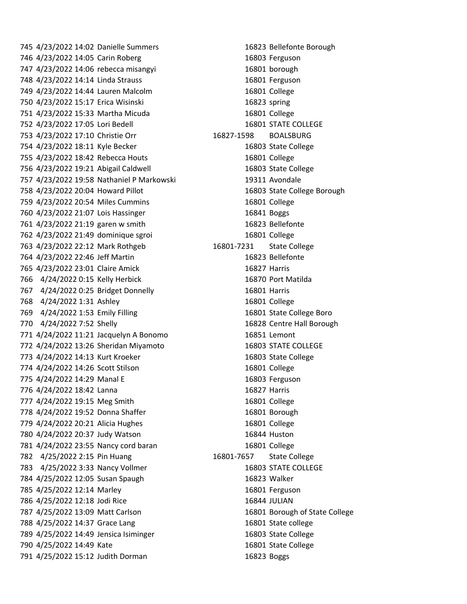4/23/2022 14:05 Carin Roberg 16803 Ferguson 4/23/2022 14:06 rebecca misangyi 16801 borough 4/23/2022 14:14 Linda Strauss 16801 Ferguson 4/23/2022 14:44 Lauren Malcolm 16801 College 4/23/2022 15:17 Erica Wisinski 16823 spring 4/23/2022 15:33 Martha Micuda 16801 College 752 4/23/2022 17:05 Lori Bedell 16801 STATE COLLEGE 4/23/2022 17:10 Christie Orr 16827-1598 BOALSBURG 4/23/2022 18:11 Kyle Becker 16803 State College 4/23/2022 18:42 Rebecca Houts 16801 College 4/23/2022 19:21 Abigail Caldwell 16803 State College 4/23/2022 19:58 Nathaniel P Markowski 19311 Avondale 4/23/2022 20:04 Howard Pillot 16803 State College Borough 4/23/2022 20:54 Miles Cummins 16801 College 4/23/2022 21:07 Lois Hassinger 16841 Boggs 4/23/2022 21:19 garen w smith 16823 Bellefonte 4/23/2022 21:49 dominique sgroi 16801 College 4/23/2022 22:12 Mark Rothgeb 16801-7231 State College 4/23/2022 22:46 Jeff Martin 16823 Bellefonte 4/23/2022 23:01 Claire Amick 16827 Harris 4/24/2022 0:15 Kelly Herbick 16870 Port Matilda 4/24/2022 0:25 Bridget Donnelly 16801 Harris 4/24/2022 1:31 Ashley 16801 College 4/24/2022 1:53 Emily Filling 16801 State College Boro 4/24/2022 7:52 Shelly 16828 Centre Hall Borough 4/24/2022 11:21 Jacquelyn A Bonomo 16851 Lemont 4/24/2022 13:26 Sheridan Miyamoto 16803 STATE COLLEGE 4/24/2022 14:13 Kurt Kroeker 16803 State College 4/24/2022 14:26 Scott Stilson 16801 College 775 4/24/2022 14:29 Manal E 16803 Ferguson 4/24/2022 18:42 Lanna 16827 Harris 4/24/2022 19:15 Meg Smith 16801 College 778 4/24/2022 19:52 Donna Shaffer 16801 Borough 4/24/2022 20:21 Alicia Hughes 16801 College 4/24/2022 20:37 Judy Watson 16844 Huston 4/24/2022 23:55 Nancy cord baran 16801 College 4/25/2022 2:15 Pin Huang 16801-7657 State College 783 4/25/2022 3:33 Nancy Vollmer 16803 STATE COLLEGE 4/25/2022 12:05 Susan Spaugh 16823 Walker 4/25/2022 12:14 Marley 16801 Ferguson 4/25/2022 12:18 Jodi Rice 16844 JULIAN 4/25/2022 13:09 Matt Carlson 16801 Borough of State College 788 4/25/2022 14:37 Grace Lang 16801 State college 4/25/2022 14:49 Jensica Isiminger 16803 State College 4/25/2022 14:49 Kate 16801 State College 4/25/2022 15:12 Judith Dorman 16823 Boggs

4/23/2022 14:02 Danielle Summers 16823 Bellefonte Borough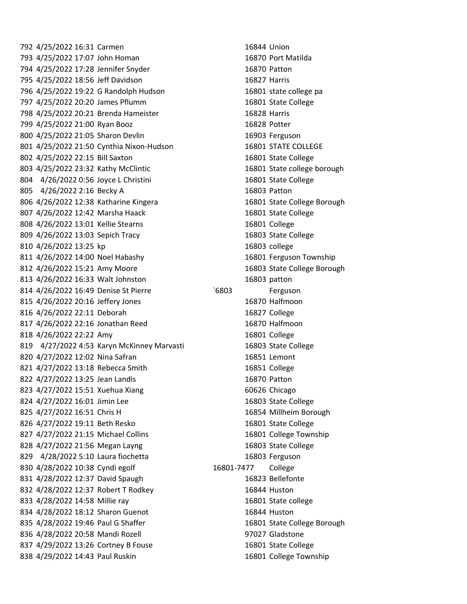4/25/2022 16:31 Carmen 16844 Union 4/25/2022 17:07 John Homan 16870 Port Matilda 4/25/2022 17:28 Jennifer Snyder 16870 Patton 4/25/2022 18:56 Jeff Davidson 16827 Harris 4/25/2022 19:22 G Randolph Hudson 16801 state college pa 4/25/2022 20:20 James Pflumm 16801 State College 4/25/2022 20:21 Brenda Hameister 16828 Harris 4/25/2022 21:00 Ryan Booz 16828 Potter 4/25/2022 21:05 Sharon Devlin 16903 Ferguson 4/25/2022 21:50 Cynthia Nixon-Hudson 16801 STATE COLLEGE 802 4/25/2022 22:15 Bill Saxton 16801 State College 4/25/2022 23:32 Kathy McClintic 16801 State college borough 4/26/2022 0:56 Joyce L Christini 16801 State College 805 4/26/2022 2:16 Becky A 16803 Patton 4/26/2022 12:38 Katharine Kingera 16801 State College Borough 4/26/2022 12:42 Marsha Haack 16801 State College 4/26/2022 13:01 Kellie Stearns 16801 College 4/26/2022 13:03 Sepich Tracy 16803 State College 4/26/2022 13:25 kp 16803 college 4/26/2022 14:00 Noel Habashy 16801 Ferguson Township 812 4/26/2022 15:21 Amy Moore 16803 State College Borough 4/26/2022 16:33 Walt Johnston 16803 patton 4/26/2022 16:49 Denise St Pierre `6803 Ferguson 4/26/2022 20:16 Jeffery Jones 16870 Halfmoon 4/26/2022 22:11 Deborah 16827 College 4/26/2022 22:16 Jonathan Reed 16870 Halfmoon 4/26/2022 22:22 Amy 16801 College 819 4/27/2022 4:53 Karyn McKinney Marvasti 16803 State College 820 4/27/2022 12:02 Nina Safran 16851 Lemont 821 4/27/2022 13:18 Rebecca Smith 16851 College 4/27/2022 13:25 Jean Landis 16870 Patton 823 4/27/2022 15:51 Xuehua Xiang 60626 Chicago 824 4/27/2022 16:01 Jimin Lee 16803 State College 4/27/2022 16:51 Chris H 16854 Millheim Borough 4/27/2022 19:11 Beth Resko 16801 State College 4/27/2022 21:15 Michael Collins 16801 College Township 828 4/27/2022 21:56 Megan Layng 16803 State College 829 4/28/2022 5:10 Laura fiochetta 16803 Ferguson 830 4/28/2022 10:38 Cyndi egolf 16801-7477 College 831 4/28/2022 12:37 David Spaugh 16823 Bellefonte 832 4/28/2022 12:37 Robert T Rodkey 16844 Huston 4/28/2022 14:58 Millie ray 16801 State college 834 4/28/2022 18:12 Sharon Guenot 16844 Huston 835 4/28/2022 19:46 Paul G Shaffer 16801 State College Borough 4/28/2022 20:58 Mandi Rozell 97027 Gladstone 837 4/29/2022 13:26 Cortney B Fouse 16801 State College 4/29/2022 14:43 Paul Ruskin 16801 College Township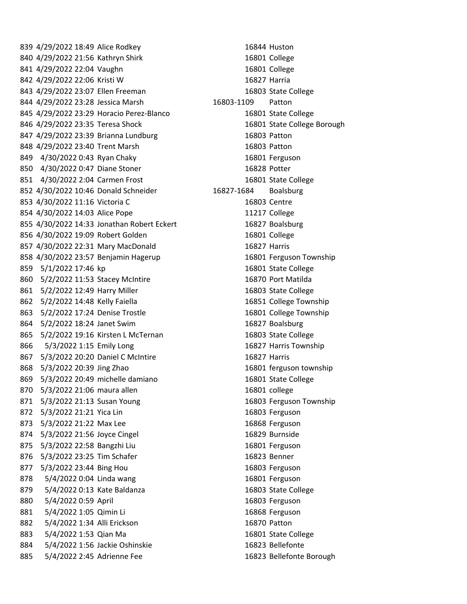839 4/29/2022 18:49 Alice Rodkey 16844 Huston 840 4/29/2022 21:56 Kathryn Shirk 16801 College 841 4/29/2022 22:04 Vaughn 16801 College 842 4/29/2022 22:06 Kristi W 16827 Harria 843 4/29/2022 23:07 Ellen Freeman 16803 State College 844 4/29/2022 23:28 Jessica Marsh 16803-1109 Patton 845 4/29/2022 23:29 Horacio Perez-Blanco 16801 State College 846 4/29/2022 23:35 Teresa Shock 16801 State College Borough 847 4/29/2022 23:39 Brianna Lundburg 16803 Patton 848 4/29/2022 23:40 Trent Marsh 16803 Patton 849 4/30/2022 0:43 Ryan Chaky 16801 Ferguson 850 4/30/2022 0:47 Diane Stoner 16828 Potter 851 4/30/2022 2:04 Carmen Frost 16801 State College 852 4/30/2022 10:46 Donald Schneider 16827-1684 Boalsburg 853 4/30/2022 11:16 Victoria C 16803 Centre 854 4/30/2022 14:03 Alice Pope 11217 College 855 4/30/2022 14:33 Jonathan Robert Eckert 16827 Boalsburg 856 4/30/2022 19:09 Robert Golden 16801 College 857 4/30/2022 22:31 Mary MacDonald 16827 Harris 858 4/30/2022 23:57 Benjamin Hagerup 16801 Ferguson Township 859 5/1/2022 17:46 kp 16801 State College 860 5/2/2022 11:53 Stacey McIntire 16870 Port Matilda 861 5/2/2022 12:49 Harry Miller 16803 State College 862 5/2/2022 14:48 Kelly Faiella 16851 College Township 863 5/2/2022 17:24 Denise Trostle 16801 College Township 864 5/2/2022 18:24 Janet Swim 16827 Boalsburg 865 5/2/2022 19:16 Kirsten L McTernan 16803 State College 866 5/3/2022 1:15 Emily Long 16827 Harris Township 867 5/3/2022 20:20 Daniel C McIntire 16827 Harris 868 5/3/2022 20:39 Jing Zhao 16801 ferguson township 869 5/3/2022 20:49 michelle damiano 16801 State College 870 5/3/2022 21:06 maura allen 16801 college 871 5/3/2022 21:13 Susan Young 16803 Ferguson Township 872 5/3/2022 21:21 Yica Lin 16803 Ferguson 873 5/3/2022 21:22 Max Lee 16868 Ferguson 874 5/3/2022 21:56 Joyce Cingel 16829 Burnside 875 5/3/2022 22:58 Bangzhi Liu 16801 Ferguson 876 5/3/2022 23:25 Tim Schafer 16823 Benner 877 5/3/2022 23:44 Bing Hou 16803 Ferguson 878 5/4/2022 0:04 Linda wang 16801 Ferguson 879 5/4/2022 0:13 Kate Baldanza 16803 State College 880 5/4/2022 0:59 April 16803 Ferguson 881 5/4/2022 1:05 Qimin Li 16868 Ferguson 882 5/4/2022 1:34 Alli Erickson 16870 Patton 883 5/4/2022 1:53 Qian Ma 16801 State College 884 5/4/2022 1:56 Jackie Oshinskie 16823 Bellefonte 885 5/4/2022 2:45 Adrienne Fee 16823 Bellefonte Borough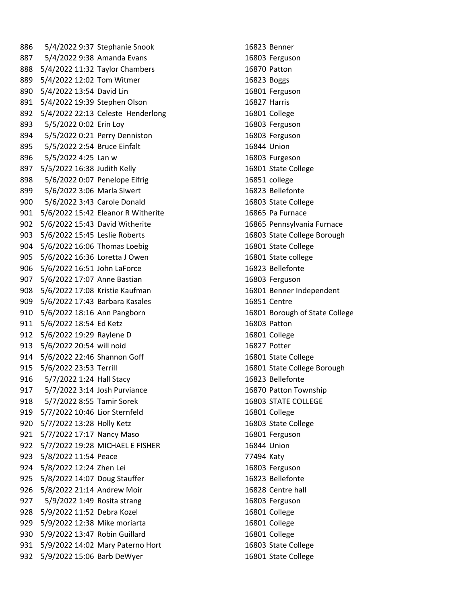886 5/4/2022 9:37 Stephanie Snook 16823 Benner 887 5/4/2022 9:38 Amanda Evans 16803 Ferguson 888 5/4/2022 11:32 Taylor Chambers 16870 Patton 889 5/4/2022 12:02 Tom Witmer 16823 Boggs 890 5/4/2022 13:54 David Lin 16801 Ferguson 891 5/4/2022 19:39 Stephen Olson 16827 Harris 892 5/4/2022 22:13 Celeste Henderlong 16801 College 893 5/5/2022 0:02 Erin Loy 16803 Ferguson 894 5/5/2022 0:21 Perry Denniston 16803 Ferguson 895 5/5/2022 2:54 Bruce Einfalt 16844 Union 896 5/5/2022 4:25 Lan w 16803 Furgeson 897 5/5/2022 16:38 Judith Kelly 16801 State College 898 5/6/2022 0:07 Penelope Eifrig 16851 college 899 5/6/2022 3:06 Marla Siwert 16823 Bellefonte 900 5/6/2022 3:43 Carole Donald 16803 State College 901 5/6/2022 15:42 Eleanor R Witherite 16865 Pa Furnace 902 5/6/2022 15:43 David Witherite 16865 Pennsylvania Furnace 903 5/6/2022 15:45 Leslie Roberts 16803 State College Borough 904 5/6/2022 16:06 Thomas Loebig 16801 State College 905 5/6/2022 16:36 Loretta J Owen 16801 State college 906 5/6/2022 16:51 John LaForce 16823 Bellefonte 907 5/6/2022 17:07 Anne Bastian 16803 Ferguson 908 5/6/2022 17:08 Kristie Kaufman 16801 Benner Independent 909 5/6/2022 17:43 Barbara Kasales 16851 Centre 910 5/6/2022 18:16 Ann Pangborn 16801 Borough of State College 911 5/6/2022 18:54 Ed Ketz 16803 Patton 912 5/6/2022 19:29 Raylene D 16801 College 913 5/6/2022 20:54 will noid 16827 Potter 914 5/6/2022 22:46 Shannon Goff 16801 State College 915 5/6/2022 23:53 Terrill 16801 State College Borough 916 5/7/2022 1:24 Hall Stacy 16823 Bellefonte 917 5/7/2022 3:14 Josh Purviance 16870 Patton Township 918 5/7/2022 8:55 Tamir Sorek 16803 STATE COLLEGE 919 5/7/2022 10:46 Lior Sternfeld 16801 College 920 5/7/2022 13:28 Holly Ketz 16803 State College 921 5/7/2022 17:17 Nancy Maso 16801 Ferguson 922 5/7/2022 19:28 MICHAEL E FISHER 16844 Union 923 5/8/2022 11:54 Peace 77494 Katy 924 5/8/2022 12:24 Zhen Lei 16803 Ferguson 925 5/8/2022 14:07 Doug Stauffer 16823 Bellefonte 926 5/8/2022 21:14 Andrew Moir 16828 Centre hall 927 5/9/2022 1:49 Rosita strang 16803 Ferguson 928 5/9/2022 11:52 Debra Kozel 16801 College 929 5/9/2022 12:38 Mike moriarta 16801 College 930 5/9/2022 13:47 Robin Guillard 16801 College 931 5/9/2022 14:02 Mary Paterno Hort 16803 State College 932 5/9/2022 15:06 Barb DeWyer 16801 State College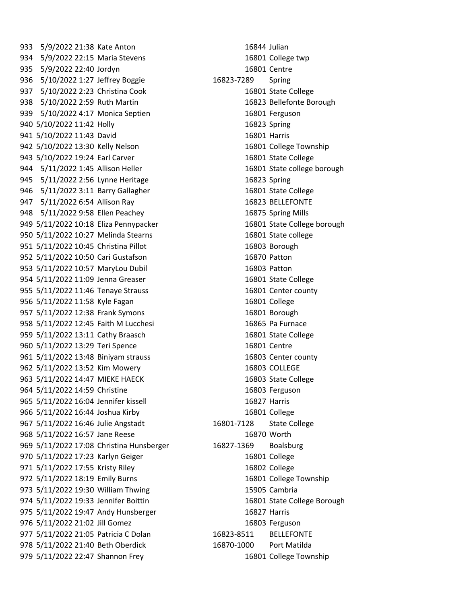933 5/9/2022 21:38 Kate Anton 16844 Julian 5/9/2022 22:15 Maria Stevens 16801 College twp 5/9/2022 22:40 Jordyn 16801 Centre 5/10/2022 1:27 Jeffrey Boggie 16823-7289 Spring 5/10/2022 2:23 Christina Cook 16801 State College 5/10/2022 2:59 Ruth Martin 16823 Bellefonte Borough 939 5/10/2022 4:17 Monica Septien 16801 Ferguson 5/10/2022 11:42 Holly 16823 Spring 941 5/10/2022 11:43 David 16801 Harris 5/10/2022 13:30 Kelly Nelson 16801 College Township 5/10/2022 19:24 Earl Carver 16801 State College 944 5/11/2022 1:45 Allison Heller 16801 State college borough 945 5/11/2022 2:56 Lynne Heritage 16823 Spring 5/11/2022 3:11 Barry Gallagher 16801 State College 5/11/2022 6:54 Allison Ray 16823 BELLEFONTE 5/11/2022 9:58 Ellen Peachey 16875 Spring Mills 949 5/11/2022 10:18 Eliza Pennypacker 16801 State College borough 5/11/2022 10:27 Melinda Stearns 16801 State college 5/11/2022 10:45 Christina Pillot 16803 Borough 5/11/2022 10:50 Cari Gustafson 16870 Patton 5/11/2022 10:57 MaryLou Dubil 16803 Patton 5/11/2022 11:09 Jenna Greaser 16801 State College 5/11/2022 11:46 Tenaye Strauss 16801 Center county 956 5/11/2022 11:58 Kyle Fagan 16801 College 5/11/2022 12:38 Frank Symons 16801 Borough 5/11/2022 12:45 Faith M Lucchesi 16865 Pa Furnace 959 5/11/2022 13:11 Cathy Braasch 16801 State College 960 5/11/2022 13:29 Teri Spence 16801 Centre 5/11/2022 13:48 Biniyam strauss 16803 Center county 962 5/11/2022 13:52 Kim Mowery 16803 COLLEGE 963 5/11/2022 14:47 MIEKE HAECK 16803 State College 964 5/11/2022 14:59 Christine 16803 Ferguson 5/11/2022 16:04 Jennifer kissell 16827 Harris 5/11/2022 16:44 Joshua Kirby 16801 College 5/11/2022 16:46 Julie Angstadt 16801-7128 State College 968 5/11/2022 16:57 Jane Reese 16870 Worth 969 5/11/2022 17:08 Christina Hunsberger 16827-1369 Boalsburg 5/11/2022 17:23 Karlyn Geiger 16801 College 5/11/2022 17:55 Kristy Riley 16802 College 5/11/2022 18:19 Emily Burns 16801 College Township 973 5/11/2022 19:30 William Thwing 15905 Cambria 974 5/11/2022 19:33 Jennifer Boittin 16801 State College Borough 975 5/11/2022 19:47 Andy Hunsberger 16827 Harris 5/11/2022 21:02 Jill Gomez 16803 Ferguson 5/11/2022 21:05 Patricia C Dolan 16823-8511 BELLEFONTE 5/11/2022 21:40 Beth Oberdick 16870-1000 Port Matilda 5/11/2022 22:47 Shannon Frey 16801 College Township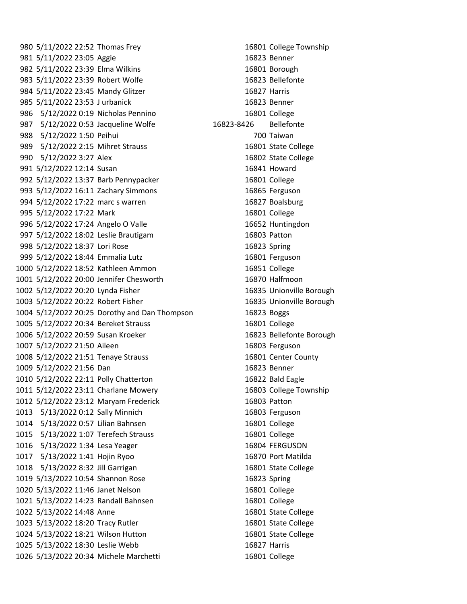5/11/2022 22:52 Thomas Frey 16801 College Township 5/11/2022 23:05 Aggie 16823 Benner 5/11/2022 23:39 Elma Wilkins 16801 Borough 983 5/11/2022 23:39 Robert Wolfe 16823 Bellefonte 984 5/11/2022 23:45 Mandy Glitzer 16827 Harris 5/11/2022 23:53 J urbanick 16823 Benner 5/12/2022 0:19 Nicholas Pennino 16801 College 5/12/2022 0:53 Jacqueline Wolfe 16823-8426 Bellefonte 5/12/2022 1:50 Peihui 700 Taiwan 5/12/2022 2:15 Mihret Strauss 16801 State College 5/12/2022 3:27 Alex 16802 State College 5/12/2022 12:14 Susan 16841 Howard 992 5/12/2022 13:37 Barb Pennypacker 16801 College 5/12/2022 16:11 Zachary Simmons 16865 Ferguson 5/12/2022 17:22 marc s warren 16827 Boalsburg 5/12/2022 17:22 Mark 16801 College 5/12/2022 17:24 Angelo O Valle 16652 Huntingdon 5/12/2022 18:02 Leslie Brautigam 16803 Patton 5/12/2022 18:37 Lori Rose 16823 Spring 5/12/2022 18:44 Emmalia Lutz 16801 Ferguson 5/12/2022 18:52 Kathleen Ammon 16851 College 5/12/2022 20:00 Jennifer Chesworth 16870 Halfmoon 5/12/2022 20:20 Lynda Fisher 16835 Unionville Borough 5/12/2022 20:22 Robert Fisher 16835 Unionville Borough 5/12/2022 20:25 Dorothy and Dan Thompson 16823 Boggs 5/12/2022 20:34 Bereket Strauss 16801 College 5/12/2022 20:59 Susan Kroeker 16823 Bellefonte Borough 5/12/2022 21:50 Aileen 16803 Ferguson 5/12/2022 21:51 Tenaye Strauss 16801 Center County 5/12/2022 21:56 Dan 16823 Benner 5/12/2022 22:11 Polly Chatterton 16822 Bald Eagle 5/12/2022 23:11 Charlane Mowery 16803 College Township 5/12/2022 23:12 Maryam Frederick 16803 Patton 5/13/2022 0:12 Sally Minnich 16803 Ferguson 5/13/2022 0:57 Lilian Bahnsen 16801 College 5/13/2022 1:07 Terefech Strauss 16801 College 1016 5/13/2022 1:34 Lesa Yeager 16804 FERGUSON 5/13/2022 1:41 Hojin Ryoo 16870 Port Matilda 5/13/2022 8:32 Jill Garrigan 16801 State College 5/13/2022 10:54 Shannon Rose 16823 Spring 5/13/2022 11:46 Janet Nelson 16801 College 5/13/2022 14:23 Randall Bahnsen 16801 College 5/13/2022 14:48 Anne 16801 State College 5/13/2022 18:20 Tracy Rutler 16801 State College 5/13/2022 18:21 Wilson Hutton 16801 State College 5/13/2022 18:30 Leslie Webb 16827 Harris 5/13/2022 20:34 Michele Marchetti 16801 College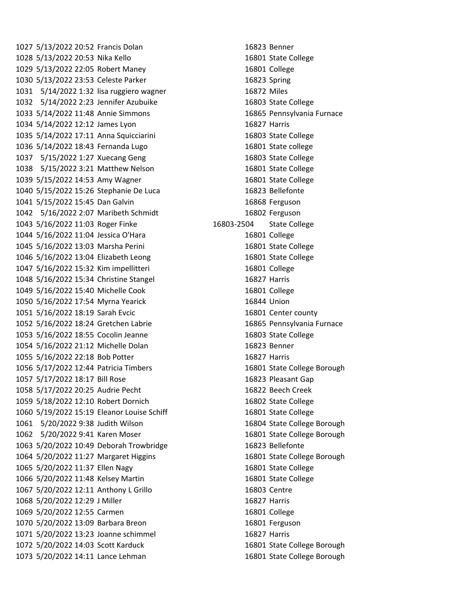5/13/2022 20:52 Francis Dolan 16823 Benner 5/13/2022 20:53 Nika Kello 16801 State College 5/13/2022 22:05 Robert Maney 16801 College 5/13/2022 23:53 Celeste Parker 16823 Spring 5/14/2022 1:32 lisa ruggiero wagner 16872 Miles 5/14/2022 2:23 Jennifer Azubuike 16803 State College 5/14/2022 11:48 Annie Simmons 16865 Pennsylvania Furnace 5/14/2022 12:12 James Lyon 16827 Harris 5/14/2022 17:11 Anna Squicciarini 16803 State College 5/14/2022 18:43 Fernanda Lugo 16801 State college 5/15/2022 1:27 Xuecang Geng 16803 State College 5/15/2022 3:21 Matthew Nelson 16801 State College 5/15/2022 14:53 Amy Wagner 16801 State College 5/15/2022 15:26 Stephanie De Luca 16823 Bellefonte 5/15/2022 15:45 Dan Galvin 16868 Ferguson 5/16/2022 2:07 Maribeth Schmidt 16802 Ferguson 5/16/2022 11:03 Roger Finke 16803-2504 State College 5/16/2022 11:04 Jessica O'Hara 16801 College 5/16/2022 13:03 Marsha Perini 16801 State College 5/16/2022 13:04 Elizabeth Leong 16801 State College 5/16/2022 15:32 Kim impellitteri 16801 College 5/16/2022 15:34 Christine Stangel 16827 Harris 5/16/2022 15:40 Michelle Cook 16801 College 5/16/2022 17:54 Myrna Yearick 16844 Union 5/16/2022 18:19 Sarah Evcic 16801 Center county 5/16/2022 18:24 Gretchen Labrie 16865 Pennsylvania Furnace 5/16/2022 18:55 Cocolin Jeanne 16803 State College 5/16/2022 21:12 Michelle Dolan 16823 Benner 5/16/2022 22:18 Bob Potter 16827 Harris 5/17/2022 12:44 Patricia Timbers 16801 State College Borough 5/17/2022 18:17 Bill Rose 16823 Pleasant Gap 5/17/2022 20:25 Audrie Pecht 16822 Beech Creek 5/18/2022 12:10 Robert Dornich 16802 State College 5/19/2022 15:19 Eleanor Louise Schiff 16801 State College 5/20/2022 9:38 Judith Wilson 16804 State College Borough 5/20/2022 9:41 Karen Moser 16801 State College Borough 5/20/2022 10:49 Deborah Trowbridge 16823 Bellefonte 5/20/2022 11:27 Margaret Higgins 16801 State College Borough 5/20/2022 11:37 Ellen Nagy 16801 State College 5/20/2022 11:48 Kelsey Martin 16801 State College 5/20/2022 12:11 Anthony L Grillo 16803 Centre 5/20/2022 12:29 J Miller 16827 Harris 5/20/2022 12:55 Carmen 16801 College 5/20/2022 13:09 Barbara Breon 16801 Ferguson 5/20/2022 13:23 Joanne schimmel 16827 Harris 5/20/2022 14:03 Scott Karduck 16801 State College Borough 5/20/2022 14:11 Lance Lehman 16801 State College Borough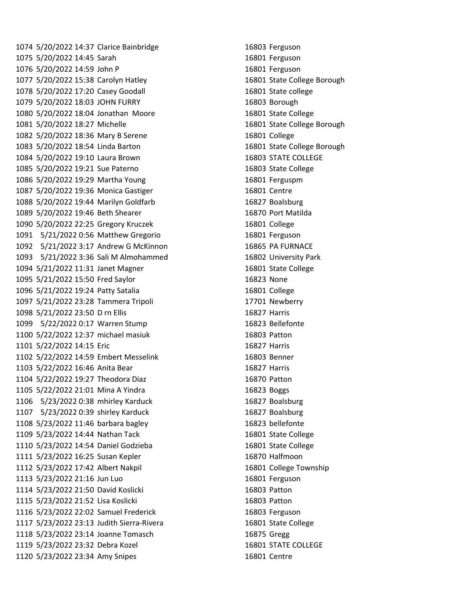5/20/2022 14:37 Clarice Bainbridge 16803 Ferguson 5/20/2022 14:45 Sarah 16801 Ferguson 5/20/2022 14:59 John P 16801 Ferguson 5/20/2022 15:38 Carolyn Hatley 16801 State College Borough 5/20/2022 17:20 Casey Goodall 16801 State college 5/20/2022 18:03 JOHN FURRY 16803 Borough 5/20/2022 18:04 Jonathan Moore 16801 State College 5/20/2022 18:27 Michelle 16801 State College Borough 5/20/2022 18:36 Mary B Serene 16801 College 5/20/2022 18:54 Linda Barton 16801 State College Borough 5/20/2022 19:10 Laura Brown 16803 STATE COLLEGE 5/20/2022 19:21 Sue Paterno 16803 State College 5/20/2022 19:29 Martha Young 16801 Ferguspm 5/20/2022 19:36 Monica Gastiger 16801 Centre 5/20/2022 19:44 Marilyn Goldfarb 16827 Boalsburg 5/20/2022 19:46 Beth Shearer 16870 Port Matilda 5/20/2022 22:25 Gregory Kruczek 16801 College 5/21/2022 0:56 Matthew Gregorio 16801 Ferguson 5/21/2022 3:17 Andrew G McKinnon 16865 PA FURNACE 5/21/2022 3:36 Sali M Almohammed 16802 University Park 5/21/2022 11:31 Janet Magner 16801 State College 5/21/2022 15:50 Fred Saylor 16823 None 5/21/2022 19:24 Patty Satalia 16801 College 5/21/2022 23:28 Tammera Tripoli 17701 Newberry 5/21/2022 23:50 D rn Ellis 16827 Harris 5/22/2022 0:17 Warren Stump 16823 Bellefonte 5/22/2022 12:37 michael masiuk 16803 Patton 5/22/2022 14:15 Eric 16827 Harris 5/22/2022 14:59 Embert Messelink 16803 Benner 5/22/2022 16:46 Anita Bear 16827 Harris 5/22/2022 19:27 Theodora Diaz 16870 Patton 5/22/2022 21:01 Mina A Yindra 16823 Boggs 5/23/2022 0:38 mhirley Karduck 16827 Boalsburg 5/23/2022 0:39 shirley Karduck 16827 Boalsburg 5/23/2022 11:46 barbara bagley 16823 bellefonte 5/23/2022 14:44 Nathan Tack 16801 State College 5/23/2022 14:54 Daniel Godzieba 16801 State College 5/23/2022 16:25 Susan Kepler 16870 Halfmoon 5/23/2022 17:42 Albert Nakpil 16801 College Township 5/23/2022 21:16 Jun Luo 16801 Ferguson 5/23/2022 21:50 David Koslicki 16803 Patton 5/23/2022 21:52 Lisa Koslicki 16803 Patton 5/23/2022 22:02 Samuel Frederick 16803 Ferguson 5/23/2022 23:13 Judith Sierra-Rivera 16801 State College 5/23/2022 23:14 Joanne Tomasch 16875 Gregg 5/23/2022 23:32 Debra Kozel 16801 STATE COLLEGE 5/23/2022 23:34 Amy Snipes 16801 Centre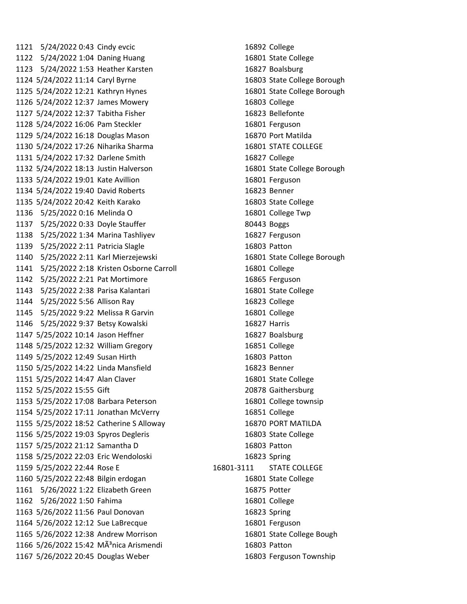5/24/2022 0:43 Cindy evcic 16892 College 5/24/2022 1:04 Daning Huang 16801 State College 5/24/2022 1:53 Heather Karsten 16827 Boalsburg 5/24/2022 11:14 Caryl Byrne 16803 State College Borough 5/24/2022 12:21 Kathryn Hynes 16801 State College Borough 5/24/2022 12:37 James Mowery 16803 College 5/24/2022 12:37 Tabitha Fisher 16823 Bellefonte 5/24/2022 16:06 Pam Steckler 16801 Ferguson 5/24/2022 16:18 Douglas Mason 16870 Port Matilda 5/24/2022 17:26 Niharika Sharma 16801 STATE COLLEGE 5/24/2022 17:32 Darlene Smith 16827 College 5/24/2022 18:13 Justin Halverson 16801 State College Borough 5/24/2022 19:01 Kate Avillion 16801 Ferguson 5/24/2022 19:40 David Roberts 16823 Benner 5/24/2022 20:42 Keith Karako 16803 State College 5/25/2022 0:16 Melinda O 16801 College Twp 5/25/2022 0:33 Doyle Stauffer 80443 Boggs 5/25/2022 1:34 Marina Tashliyev 16827 Ferguson 5/25/2022 2:11 Patricia Slagle 16803 Patton 5/25/2022 2:11 Karl Mierzejewski 16801 State College Borough 5/25/2022 2:18 Kristen Osborne Carroll 16801 College 5/25/2022 2:21 Pat Mortimore 16865 Ferguson 5/25/2022 2:38 Parisa Kalantari 16801 State College 5/25/2022 5:56 Allison Ray 16823 College 5/25/2022 9:22 Melissa R Garvin 16801 College 5/25/2022 9:37 Betsy Kowalski 16827 Harris 5/25/2022 10:14 Jason Heffner 16827 Boalsburg 5/25/2022 12:32 William Gregory 16851 College 5/25/2022 12:49 Susan Hirth 16803 Patton 5/25/2022 14:22 Linda Mansfield 16823 Benner 5/25/2022 14:47 Alan Claver 16801 State College 5/25/2022 15:55 Gift 20878 Gaithersburg 5/25/2022 17:08 Barbara Peterson 16801 College townsip 5/25/2022 17:11 Jonathan McVerry 16851 College 5/25/2022 18:52 Catherine S Alloway 16870 PORT MATILDA 5/25/2022 19:03 Spyros Degleris 16803 State College 5/25/2022 21:12 Samantha D 16803 Patton 5/25/2022 22:03 Eric Wendoloski 16823 Spring 5/25/2022 22:44 Rose E 16801-3111 STATE COLLEGE 5/25/2022 22:48 Bilgin erdogan 16801 State College 5/26/2022 1:22 Elizabeth Green 16875 Potter 5/26/2022 1:50 Fahima 16801 College 5/26/2022 11:56 Paul Donovan 16823 Spring 5/26/2022 12:12 Sue LaBrecque 16801 Ferguson 5/26/2022 12:38 Andrew Morrison 16801 State College Bough 1166 5/26/2022 15:42 MÃ<sup>3</sup>nica Arismendi 16803 Patton 5/26/2022 20:45 Douglas Weber 16803 Ferguson Township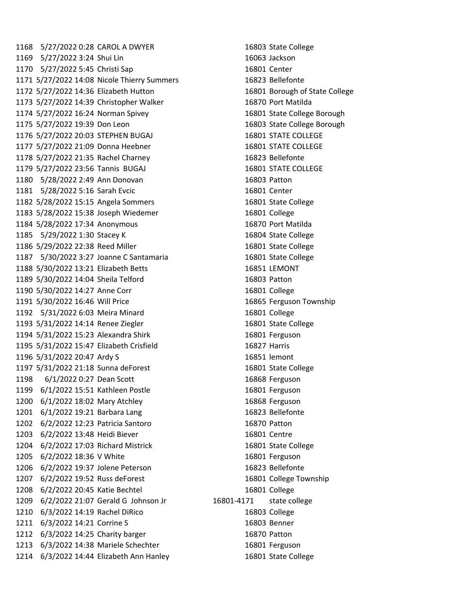1168 5/27/2022 0:28 CAROL A DWYER 16803 State College 5/27/2022 3:24 Shui Lin 16063 Jackson 1170 5/27/2022 5:45 Christi Sap 16801 Center 5/27/2022 14:08 Nicole Thierry Summers 16823 Bellefonte 5/27/2022 14:36 Elizabeth Hutton 16801 Borough of State College 5/27/2022 14:39 Christopher Walker 16870 Port Matilda 5/27/2022 16:24 Norman Spivey 16801 State College Borough 5/27/2022 19:39 Don Leon 16803 State College Borough 5/27/2022 20:03 STEPHEN BUGAJ 16801 STATE COLLEGE 5/27/2022 21:09 Donna Heebner 16801 STATE COLLEGE 5/27/2022 21:35 Rachel Charney 16823 Bellefonte 1179 5/27/2022 23:56 Tannis BUGAJ 16801 STATE COLLEGE 5/28/2022 2:49 Ann Donovan 16803 Patton 5/28/2022 5:16 Sarah Evcic 16801 Center 5/28/2022 15:15 Angela Sommers 16801 State College 5/28/2022 15:38 Joseph Wiedemer 16801 College 5/28/2022 17:34 Anonymous 16870 Port Matilda 5/29/2022 1:30 Stacey K 16804 State College 5/29/2022 22:38 Reed Miller 16801 State College 5/30/2022 3:27 Joanne C Santamaria 16801 State College 5/30/2022 13:21 Elizabeth Betts 16851 LEMONT 5/30/2022 14:04 Sheila Telford 16803 Patton 5/30/2022 14:27 Anne Corr 16801 College 5/30/2022 16:46 Will Price 16865 Ferguson Township 5/31/2022 6:03 Meira Minard 16801 College 5/31/2022 14:14 Renee Ziegler 16801 State College 5/31/2022 15:23 Alexandra Shirk 16801 Ferguson 5/31/2022 15:47 Elizabeth Crisfield 16827 Harris 5/31/2022 20:47 Ardy S 16851 lemont 5/31/2022 21:18 Sunna deForest 16801 State College 6/1/2022 0:27 Dean Scott 16868 Ferguson 6/1/2022 15:51 Kathleen Postle 16801 Ferguson 6/1/2022 18:02 Mary Atchley 16868 Ferguson 6/1/2022 19:21 Barbara Lang 16823 Bellefonte 6/2/2022 12:23 Patricia Santoro 16870 Patton 6/2/2022 13:48 Heidi Biever 16801 Centre 6/2/2022 17:03 Richard Mistrick 16801 State College 6/2/2022 18:36 V White 16801 Ferguson 6/2/2022 19:37 Jolene Peterson 16823 Bellefonte 6/2/2022 19:52 Russ deForest 16801 College Township 6/2/2022 20:45 Katie Bechtel 16801 College 6/2/2022 21:07 Gerald G Johnson Jr 16801-4171 state college 6/3/2022 14:19 Rachel DiRico 16803 College 6/3/2022 14:21 Corrine S 16803 Benner 6/3/2022 14:25 Charity barger 16870 Patton 1213 6/3/2022 14:38 Mariele Schechter 16801 Ferguson 6/3/2022 14:44 Elizabeth Ann Hanley 16801 State College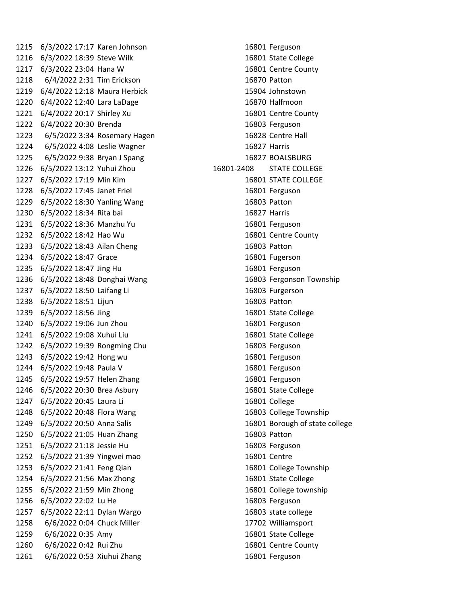6/3/2022 17:17 Karen Johnson 16801 Ferguson 6/3/2022 18:39 Steve Wilk 16801 State College 6/3/2022 23:04 Hana W 16801 Centre County 6/4/2022 2:31 Tim Erickson 16870 Patton 6/4/2022 12:18 Maura Herbick 15904 Johnstown 6/4/2022 12:40 Lara LaDage 16870 Halfmoon 6/4/2022 20:17 Shirley Xu 16801 Centre County 6/4/2022 20:30 Brenda 16803 Ferguson 6/5/2022 3:34 Rosemary Hagen 16828 Centre Hall 6/5/2022 4:08 Leslie Wagner 16827 Harris 6/5/2022 9:38 Bryan J Spang 16827 BOALSBURG 6/5/2022 13:12 Yuhui Zhou 16801-2408 STATE COLLEGE 6/5/2022 17:19 Min Kim 16801 STATE COLLEGE 6/5/2022 17:45 Janet Friel 16801 Ferguson 6/5/2022 18:30 Yanling Wang 16803 Patton 6/5/2022 18:34 Rita bai 16827 Harris 6/5/2022 18:36 Manzhu Yu 16801 Ferguson 6/5/2022 18:42 Hao Wu 16801 Centre County 6/5/2022 18:43 Ailan Cheng 16803 Patton 6/5/2022 18:47 Grace 16801 Fugerson 6/5/2022 18:47 Jing Hu 16801 Ferguson 6/5/2022 18:48 Donghai Wang 16803 Fergonson Township 6/5/2022 18:50 Laifang Li 16803 Furgerson 6/5/2022 18:51 Lijun 16803 Patton 6/5/2022 18:56 Jing 16801 State College 6/5/2022 19:06 Jun Zhou 16801 Ferguson 6/5/2022 19:08 Xuhui Liu 16801 State College 6/5/2022 19:39 Rongming Chu 16803 Ferguson 6/5/2022 19:42 Hong wu 16801 Ferguson 6/5/2022 19:48 Paula V 16801 Ferguson 6/5/2022 19:57 Helen Zhang 16801 Ferguson 6/5/2022 20:30 Brea Asbury 16801 State College 6/5/2022 20:45 Laura Li 16801 College 6/5/2022 20:48 Flora Wang 16803 College Township 6/5/2022 20:50 Anna Salis 16801 Borough of state college 6/5/2022 21:05 Huan Zhang 16803 Patton 6/5/2022 21:18 Jessie Hu 16803 Ferguson 6/5/2022 21:39 Yingwei mao 16801 Centre 6/5/2022 21:41 Feng Qian 16801 College Township 6/5/2022 21:56 Max Zhong 16801 State College 6/5/2022 21:59 Min Zhong 16801 College township 6/5/2022 22:02 Lu He 16803 Ferguson 6/5/2022 22:11 Dylan Wargo 16803 state college 6/6/2022 0:04 Chuck Miller 17702 Williamsport 6/6/2022 0:35 Amy 16801 State College 6/6/2022 0:42 Rui Zhu 16801 Centre County 6/6/2022 0:53 Xiuhui Zhang 16801 Ferguson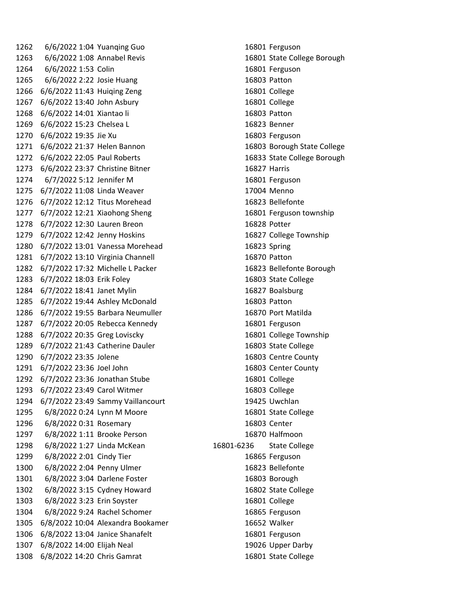6/6/2022 1:04 Yuanqing Guo 16801 Ferguson 6/6/2022 1:08 Annabel Revis 16801 State College Borough 6/6/2022 1:53 Colin 16801 Ferguson 6/6/2022 2:22 Josie Huang 16803 Patton 6/6/2022 11:43 Huiqing Zeng 16801 College 6/6/2022 13:40 John Asbury 16801 College 6/6/2022 14:01 Xiantao li 16803 Patton 6/6/2022 15:23 Chelsea L 16823 Benner 6/6/2022 19:35 Jie Xu 16803 Ferguson 6/6/2022 21:37 Helen Bannon 16803 Borough State College 6/6/2022 22:05 Paul Roberts 16833 State College Borough 6/6/2022 23:37 Christine Bitner 16827 Harris 6/7/2022 5:12 Jennifer M 16801 Ferguson 6/7/2022 11:08 Linda Weaver 17004 Menno 6/7/2022 12:12 Titus Morehead 16823 Bellefonte 6/7/2022 12:21 Xiaohong Sheng 16801 Ferguson township 6/7/2022 12:30 Lauren Breon 16828 Potter 6/7/2022 12:42 Jenny Hoskins 16827 College Township 6/7/2022 13:01 Vanessa Morehead 16823 Spring 6/7/2022 13:10 Virginia Channell 16870 Patton 6/7/2022 17:32 Michelle L Packer 16823 Bellefonte Borough 6/7/2022 18:03 Erik Foley 16803 State College 6/7/2022 18:41 Janet Mylin 16827 Boalsburg 6/7/2022 19:44 Ashley McDonald 16803 Patton 6/7/2022 19:55 Barbara Neumuller 16870 Port Matilda 6/7/2022 20:05 Rebecca Kennedy 16801 Ferguson 6/7/2022 20:35 Greg Loviscky 16801 College Township 6/7/2022 21:43 Catherine Dauler 16803 State College 6/7/2022 23:35 Jolene 16803 Centre County 6/7/2022 23:36 Joel John 16803 Center County 6/7/2022 23:36 Jonathan Stube 16801 College 6/7/2022 23:49 Carol Witmer 16803 College 6/7/2022 23:49 Sammy Vaillancourt 19425 Uwchlan 6/8/2022 0:24 Lynn M Moore 16801 State College 6/8/2022 0:31 Rosemary 16803 Center 6/8/2022 1:11 Brooke Person 16870 Halfmoon 6/8/2022 1:27 Linda McKean 16801-6236 State College 6/8/2022 2:01 Cindy Tier 16865 Ferguson 6/8/2022 2:04 Penny Ulmer 16823 Bellefonte 6/8/2022 3:04 Darlene Foster 16803 Borough 6/8/2022 3:15 Cydney Howard 16802 State College 6/8/2022 3:23 Erin Soyster 16801 College 6/8/2022 9:24 Rachel Schomer 16865 Ferguson 6/8/2022 10:04 Alexandra Bookamer 16652 Walker 6/8/2022 13:04 Janice Shanafelt 16801 Ferguson 6/8/2022 14:00 Elijah Neal 19026 Upper Darby 1308 6/8/2022 14:20 Chris Gamrat 16801 State College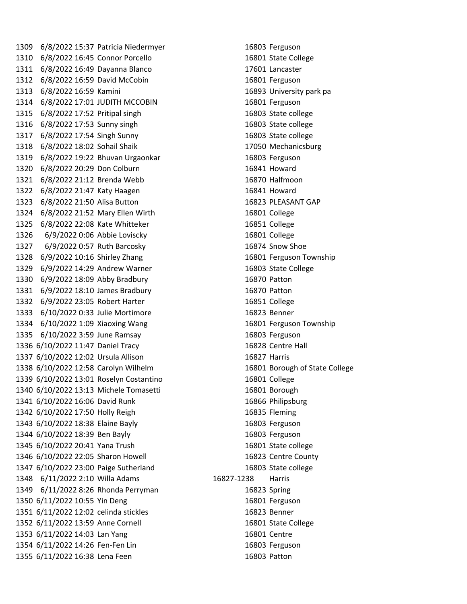6/8/2022 15:37 Patricia Niedermyer 16803 Ferguson 6/8/2022 16:45 Connor Porcello 16801 State College 6/8/2022 16:49 Dayanna Blanco 17601 Lancaster 6/8/2022 16:59 David McCobin 16801 Ferguson 6/8/2022 16:59 Kamini 16893 University park pa 6/8/2022 17:01 JUDITH MCCOBIN 16801 Ferguson 6/8/2022 17:52 Pritipal singh 16803 State college 6/8/2022 17:53 Sunny singh 16803 State college 6/8/2022 17:54 Singh Sunny 16803 State college 6/8/2022 18:02 Sohail Shaik 17050 Mechanicsburg 6/8/2022 19:22 Bhuvan Urgaonkar 16803 Ferguson 6/8/2022 20:29 Don Colburn 16841 Howard 6/8/2022 21:12 Brenda Webb 16870 Halfmoon 6/8/2022 21:47 Katy Haagen 16841 Howard 6/8/2022 21:50 Alisa Button 16823 PLEASANT GAP 6/8/2022 21:52 Mary Ellen Wirth 16801 College 6/8/2022 22:08 Kate Whitteker 16851 College 6/9/2022 0:06 Abbie Loviscky 16801 College 6/9/2022 0:57 Ruth Barcosky 16874 Snow Shoe 6/9/2022 10:16 Shirley Zhang 16801 Ferguson Township 6/9/2022 14:29 Andrew Warner 16803 State College 6/9/2022 18:09 Abby Bradbury 16870 Patton 6/9/2022 18:10 James Bradbury 16870 Patton 6/9/2022 23:05 Robert Harter 16851 College 6/10/2022 0:33 Julie Mortimore 16823 Benner 6/10/2022 1:09 Xiaoxing Wang 16801 Ferguson Township 6/10/2022 3:59 June Ramsay 16803 Ferguson 6/10/2022 11:47 Daniel Tracy 16828 Centre Hall 6/10/2022 12:02 Ursula Allison 16827 Harris 6/10/2022 12:58 Carolyn Wilhelm 16801 Borough of State College 6/10/2022 13:01 Roselyn Costantino 16801 College 6/10/2022 13:13 Michele Tomasetti 16801 Borough 6/10/2022 16:06 David Runk 16866 Philipsburg 6/10/2022 17:50 Holly Reigh 16835 Fleming 6/10/2022 18:38 Elaine Bayly 16803 Ferguson 6/10/2022 18:39 Ben Bayly 16803 Ferguson 6/10/2022 20:41 Yana Trush 16801 State college 6/10/2022 22:05 Sharon Howell 16823 Centre County 6/10/2022 23:00 Paige Sutherland 16803 State college 6/11/2022 2:10 Willa Adams 16827-1238 Harris 6/11/2022 8:26 Rhonda Perryman 16823 Spring 6/11/2022 10:55 Yin Deng 16801 Ferguson 6/11/2022 12:02 celinda stickles 16823 Benner 6/11/2022 13:59 Anne Cornell 16801 State College 6/11/2022 14:03 Lan Yang 16801 Centre 6/11/2022 14:26 Fen-Fen Lin 16803 Ferguson 6/11/2022 16:38 Lena Feen 16803 Patton